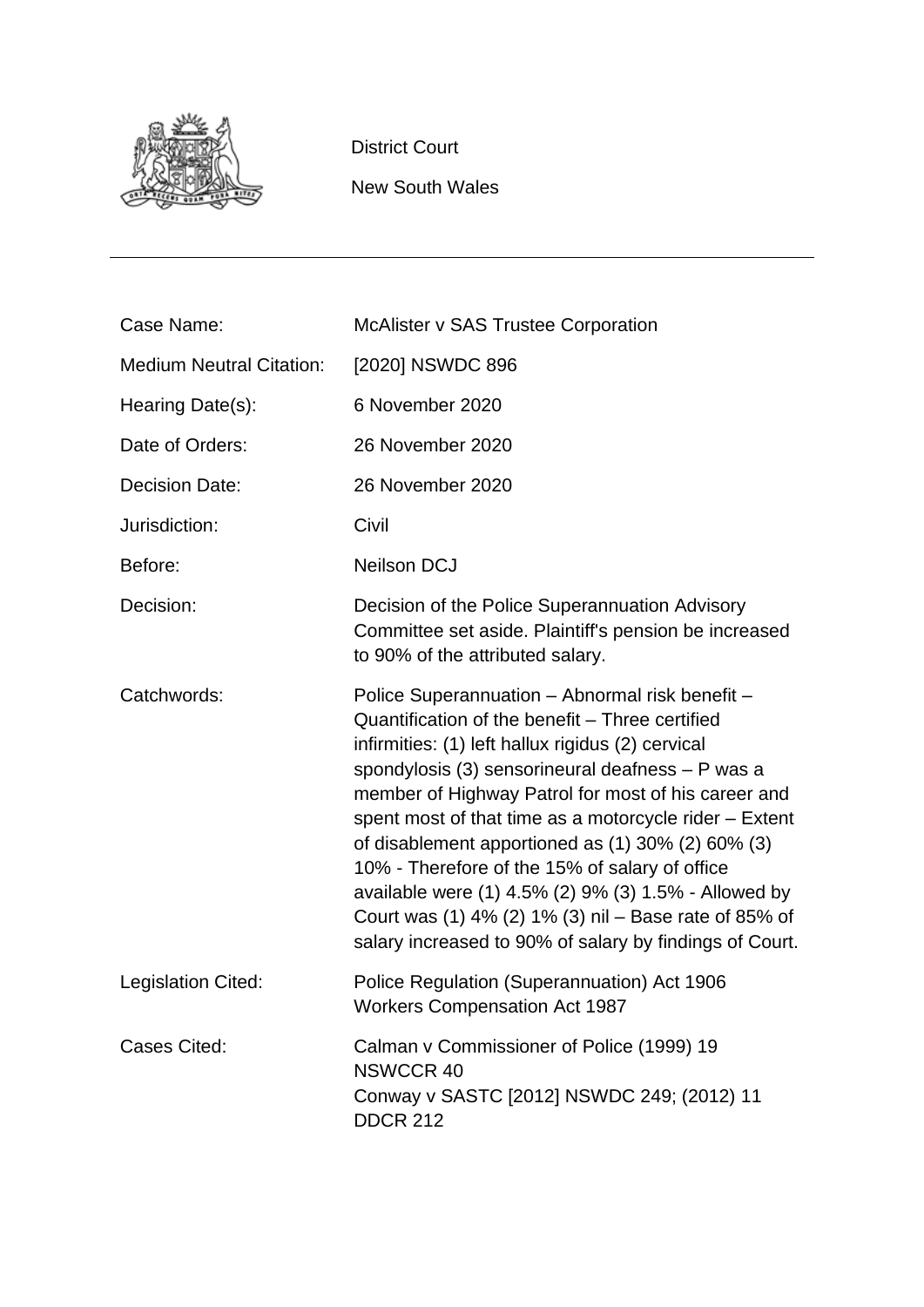

District Court

New South Wales

| Case Name:                      | <b>McAlister v SAS Trustee Corporation</b>                                                                                                                                                                                                                                                                                                                                                                                                                                                                                                                                                                      |
|---------------------------------|-----------------------------------------------------------------------------------------------------------------------------------------------------------------------------------------------------------------------------------------------------------------------------------------------------------------------------------------------------------------------------------------------------------------------------------------------------------------------------------------------------------------------------------------------------------------------------------------------------------------|
| <b>Medium Neutral Citation:</b> | [2020] NSWDC 896                                                                                                                                                                                                                                                                                                                                                                                                                                                                                                                                                                                                |
| Hearing Date(s):                | 6 November 2020                                                                                                                                                                                                                                                                                                                                                                                                                                                                                                                                                                                                 |
| Date of Orders:                 | 26 November 2020                                                                                                                                                                                                                                                                                                                                                                                                                                                                                                                                                                                                |
| <b>Decision Date:</b>           | 26 November 2020                                                                                                                                                                                                                                                                                                                                                                                                                                                                                                                                                                                                |
| Jurisdiction:                   | Civil                                                                                                                                                                                                                                                                                                                                                                                                                                                                                                                                                                                                           |
| Before:                         | <b>Neilson DCJ</b>                                                                                                                                                                                                                                                                                                                                                                                                                                                                                                                                                                                              |
| Decision:                       | Decision of the Police Superannuation Advisory<br>Committee set aside. Plaintiff's pension be increased<br>to 90% of the attributed salary.                                                                                                                                                                                                                                                                                                                                                                                                                                                                     |
| Catchwords:                     | Police Superannuation - Abnormal risk benefit -<br>Quantification of the benefit - Three certified<br>infirmities: (1) left hallux rigidus (2) cervical<br>spondylosis (3) sensorineural deafness - P was a<br>member of Highway Patrol for most of his career and<br>spent most of that time as a motorcycle rider - Extent<br>of disablement apportioned as (1) 30% (2) 60% (3)<br>10% - Therefore of the 15% of salary of office<br>available were (1) 4.5% (2) 9% (3) 1.5% - Allowed by<br>Court was (1) 4% (2) 1% (3) nil – Base rate of 85% of<br>salary increased to 90% of salary by findings of Court. |
| Legislation Cited:              | Police Regulation (Superannuation) Act 1906<br><b>Workers Compensation Act 1987</b>                                                                                                                                                                                                                                                                                                                                                                                                                                                                                                                             |
| <b>Cases Cited:</b>             | Calman v Commissioner of Police (1999) 19<br><b>NSWCCR 40</b><br>Conway v SASTC [2012] NSWDC 249; (2012) 11<br><b>DDCR 212</b>                                                                                                                                                                                                                                                                                                                                                                                                                                                                                  |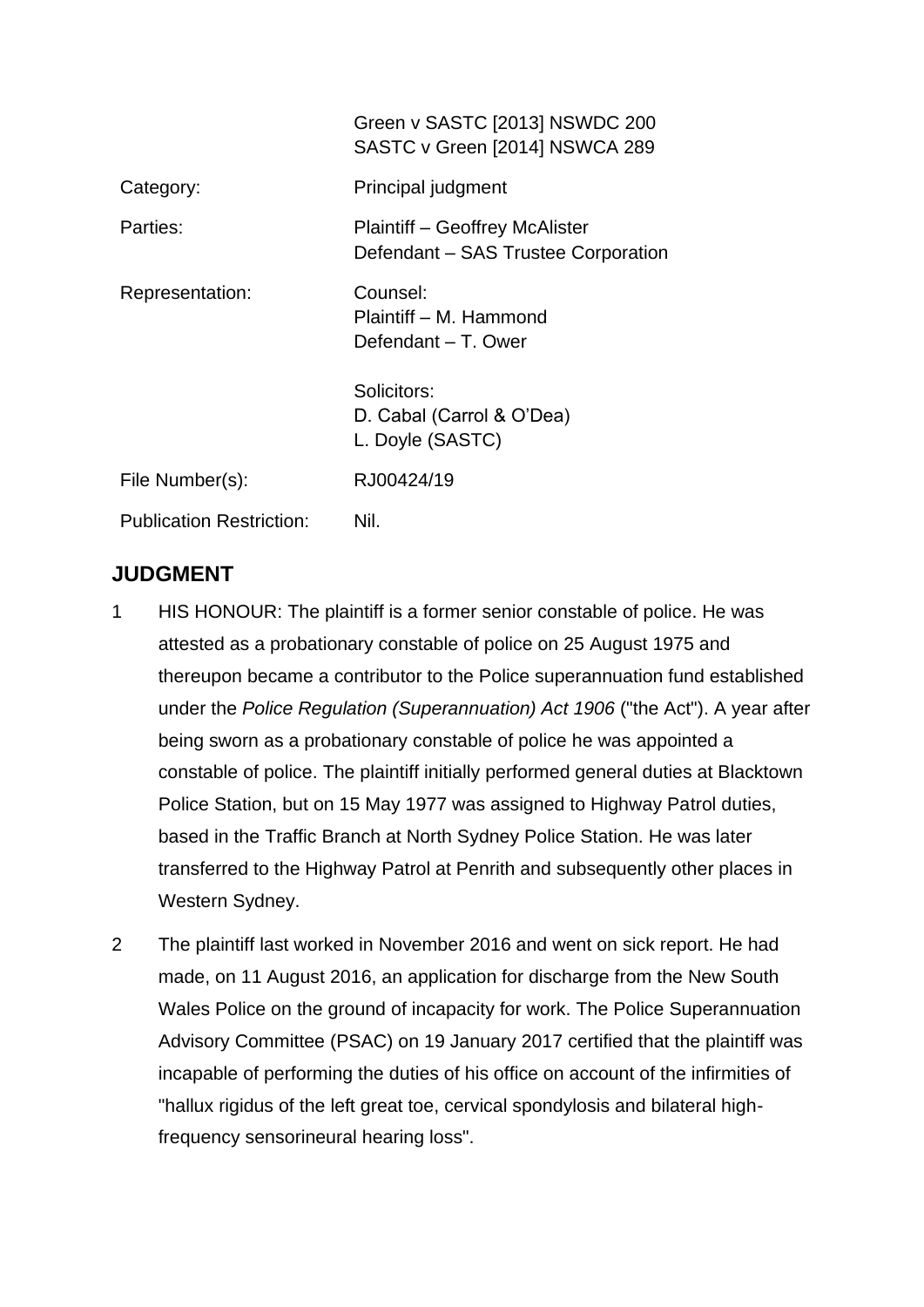|                                 | Green v SASTC [2013] NSWDC 200<br>SASTC v Green [2014] NSWCA 289      |
|---------------------------------|-----------------------------------------------------------------------|
| Category:                       | Principal judgment                                                    |
| Parties:                        | Plaintiff – Geoffrey McAlister<br>Defendant - SAS Trustee Corporation |
| Representation:                 | Counsel:<br>Plaintiff – M. Hammond<br>Defendant – T. Ower             |
|                                 | Solicitors:<br>D. Cabal (Carrol & O'Dea)<br>L. Doyle (SASTC)          |
| File Number(s):                 | RJ00424/19                                                            |
| <b>Publication Restriction:</b> | Nil.                                                                  |

# **JUDGMENT**

- 1 HIS HONOUR: The plaintiff is a former senior constable of police. He was attested as a probationary constable of police on 25 August 1975 and thereupon became a contributor to the Police superannuation fund established under the *Police Regulation (Superannuation) Act 1906* ("the Act"). A year after being sworn as a probationary constable of police he was appointed a constable of police. The plaintiff initially performed general duties at Blacktown Police Station, but on 15 May 1977 was assigned to Highway Patrol duties, based in the Traffic Branch at North Sydney Police Station. He was later transferred to the Highway Patrol at Penrith and subsequently other places in Western Sydney.
- 2 The plaintiff last worked in November 2016 and went on sick report. He had made, on 11 August 2016, an application for discharge from the New South Wales Police on the ground of incapacity for work. The Police Superannuation Advisory Committee (PSAC) on 19 January 2017 certified that the plaintiff was incapable of performing the duties of his office on account of the infirmities of "hallux rigidus of the left great toe, cervical spondylosis and bilateral highfrequency sensorineural hearing loss".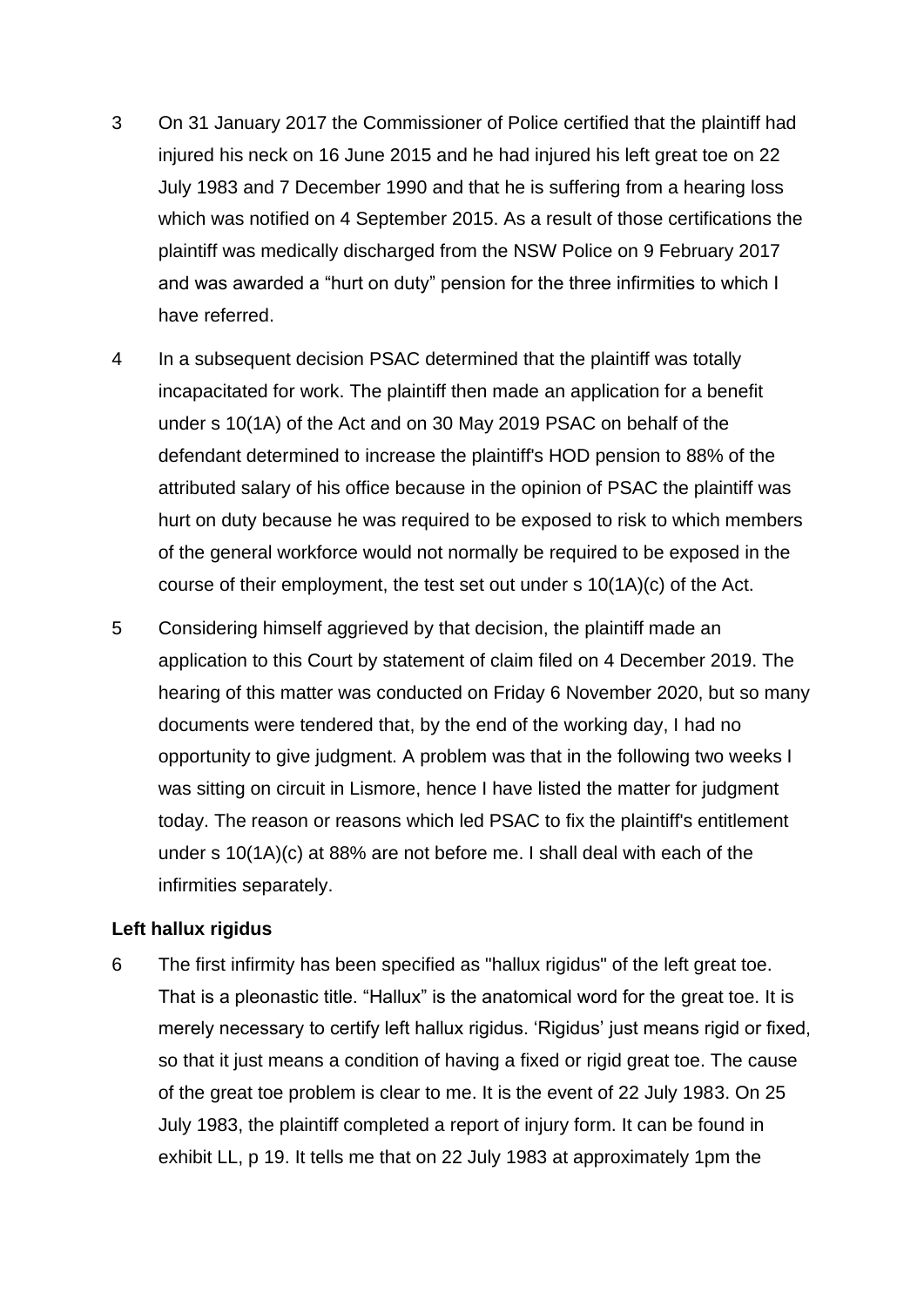- 3 On 31 January 2017 the Commissioner of Police certified that the plaintiff had injured his neck on 16 June 2015 and he had injured his left great toe on 22 July 1983 and 7 December 1990 and that he is suffering from a hearing loss which was notified on 4 September 2015. As a result of those certifications the plaintiff was medically discharged from the NSW Police on 9 February 2017 and was awarded a "hurt on duty" pension for the three infirmities to which I have referred.
- 4 In a subsequent decision PSAC determined that the plaintiff was totally incapacitated for work. The plaintiff then made an application for a benefit under s 10(1A) of the Act and on 30 May 2019 PSAC on behalf of the defendant determined to increase the plaintiff's HOD pension to 88% of the attributed salary of his office because in the opinion of PSAC the plaintiff was hurt on duty because he was required to be exposed to risk to which members of the general workforce would not normally be required to be exposed in the course of their employment, the test set out under s 10(1A)(c) of the Act.
- 5 Considering himself aggrieved by that decision, the plaintiff made an application to this Court by statement of claim filed on 4 December 2019. The hearing of this matter was conducted on Friday 6 November 2020, but so many documents were tendered that, by the end of the working day, I had no opportunity to give judgment. A problem was that in the following two weeks I was sitting on circuit in Lismore, hence I have listed the matter for judgment today. The reason or reasons which led PSAC to fix the plaintiff's entitlement under s 10(1A)(c) at 88% are not before me. I shall deal with each of the infirmities separately.

# **Left hallux rigidus**

6 The first infirmity has been specified as "hallux rigidus" of the left great toe. That is a pleonastic title. "Hallux" is the anatomical word for the great toe. It is merely necessary to certify left hallux rigidus. 'Rigidus' just means rigid or fixed, so that it just means a condition of having a fixed or rigid great toe. The cause of the great toe problem is clear to me. It is the event of 22 July 1983. On 25 July 1983, the plaintiff completed a report of injury form. It can be found in exhibit LL, p 19. It tells me that on 22 July 1983 at approximately 1pm the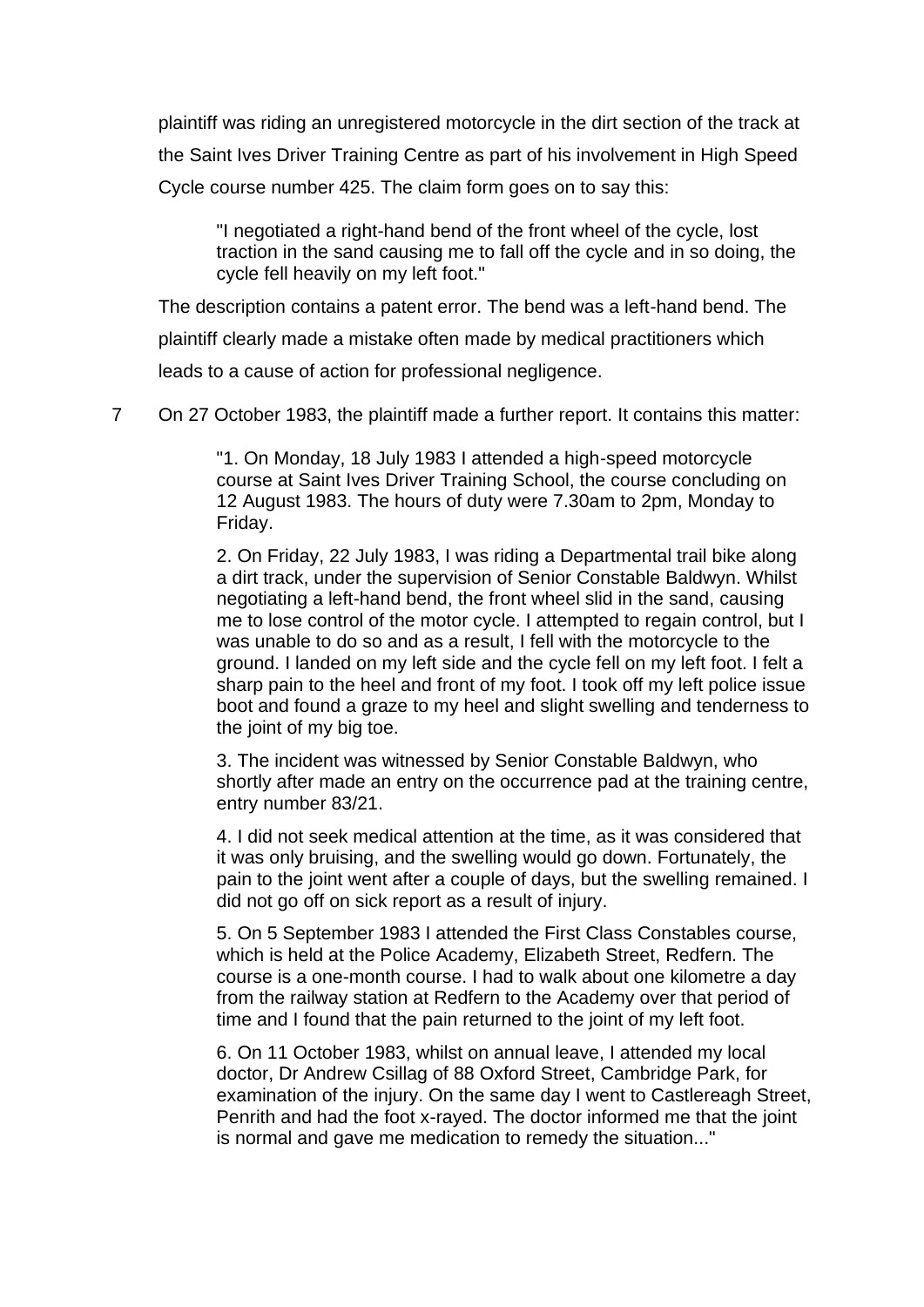plaintiff was riding an unregistered motorcycle in the dirt section of the track at the Saint Ives Driver Training Centre as part of his involvement in High Speed Cycle course number 425. The claim form goes on to say this:

"I negotiated a right-hand bend of the front wheel of the cycle, lost traction in the sand causing me to fall off the cycle and in so doing, the cycle fell heavily on my left foot."

The description contains a patent error. The bend was a left-hand bend. The plaintiff clearly made a mistake often made by medical practitioners which leads to a cause of action for professional negligence.

7 On 27 October 1983, the plaintiff made a further report. It contains this matter:

"1. On Monday, 18 July 1983 I attended a high-speed motorcycle course at Saint Ives Driver Training School, the course concluding on 12 August 1983. The hours of duty were 7.30am to 2pm, Monday to Friday.

2. On Friday, 22 July 1983, I was riding a Departmental trail bike along a dirt track, under the supervision of Senior Constable Baldwyn. Whilst negotiating a left-hand bend, the front wheel slid in the sand, causing me to lose control of the motor cycle. I attempted to regain control, but I was unable to do so and as a result, I fell with the motorcycle to the ground. I landed on my left side and the cycle fell on my left foot. I felt a sharp pain to the heel and front of my foot. I took off my left police issue boot and found a graze to my heel and slight swelling and tenderness to the joint of my big toe.

3. The incident was witnessed by Senior Constable Baldwyn, who shortly after made an entry on the occurrence pad at the training centre, entry number 83/21.

4. I did not seek medical attention at the time, as it was considered that it was only bruising, and the swelling would go down. Fortunately, the pain to the joint went after a couple of days, but the swelling remained. I did not go off on sick report as a result of injury.

5. On 5 September 1983 I attended the First Class Constables course, which is held at the Police Academy, Elizabeth Street, Redfern. The course is a one-month course. I had to walk about one kilometre a day from the railway station at Redfern to the Academy over that period of time and I found that the pain returned to the joint of my left foot.

6. On 11 October 1983, whilst on annual leave, I attended my local doctor, Dr Andrew Csillag of 88 Oxford Street, Cambridge Park, for examination of the injury. On the same day I went to Castlereagh Street, Penrith and had the foot x-rayed. The doctor informed me that the joint is normal and gave me medication to remedy the situation..."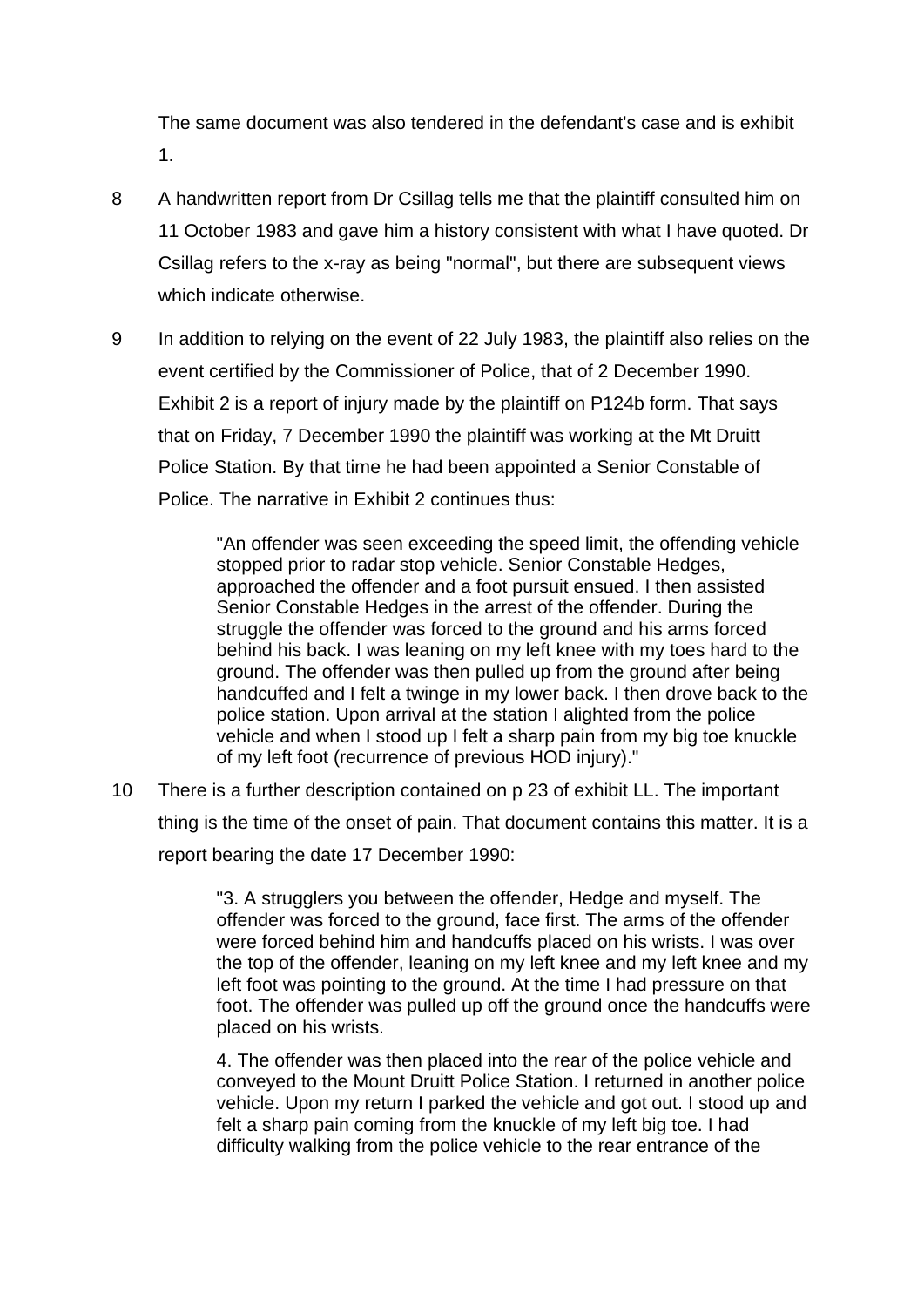The same document was also tendered in the defendant's case and is exhibit 1.

- 8 A handwritten report from Dr Csillag tells me that the plaintiff consulted him on 11 October 1983 and gave him a history consistent with what I have quoted. Dr Csillag refers to the x-ray as being "normal", but there are subsequent views which indicate otherwise.
- 9 In addition to relying on the event of 22 July 1983, the plaintiff also relies on the event certified by the Commissioner of Police, that of 2 December 1990. Exhibit 2 is a report of injury made by the plaintiff on P124b form. That says that on Friday, 7 December 1990 the plaintiff was working at the Mt Druitt Police Station. By that time he had been appointed a Senior Constable of Police. The narrative in Exhibit 2 continues thus:

"An offender was seen exceeding the speed limit, the offending vehicle stopped prior to radar stop vehicle. Senior Constable Hedges, approached the offender and a foot pursuit ensued. I then assisted Senior Constable Hedges in the arrest of the offender. During the struggle the offender was forced to the ground and his arms forced behind his back. I was leaning on my left knee with my toes hard to the ground. The offender was then pulled up from the ground after being handcuffed and I felt a twinge in my lower back. I then drove back to the police station. Upon arrival at the station I alighted from the police vehicle and when I stood up I felt a sharp pain from my big toe knuckle of my left foot (recurrence of previous HOD injury)."

10 There is a further description contained on p 23 of exhibit LL. The important thing is the time of the onset of pain. That document contains this matter. It is a report bearing the date 17 December 1990:

> "3. A strugglers you between the offender, Hedge and myself. The offender was forced to the ground, face first. The arms of the offender were forced behind him and handcuffs placed on his wrists. I was over the top of the offender, leaning on my left knee and my left knee and my left foot was pointing to the ground. At the time I had pressure on that foot. The offender was pulled up off the ground once the handcuffs were placed on his wrists.

> 4. The offender was then placed into the rear of the police vehicle and conveyed to the Mount Druitt Police Station. I returned in another police vehicle. Upon my return I parked the vehicle and got out. I stood up and felt a sharp pain coming from the knuckle of my left big toe. I had difficulty walking from the police vehicle to the rear entrance of the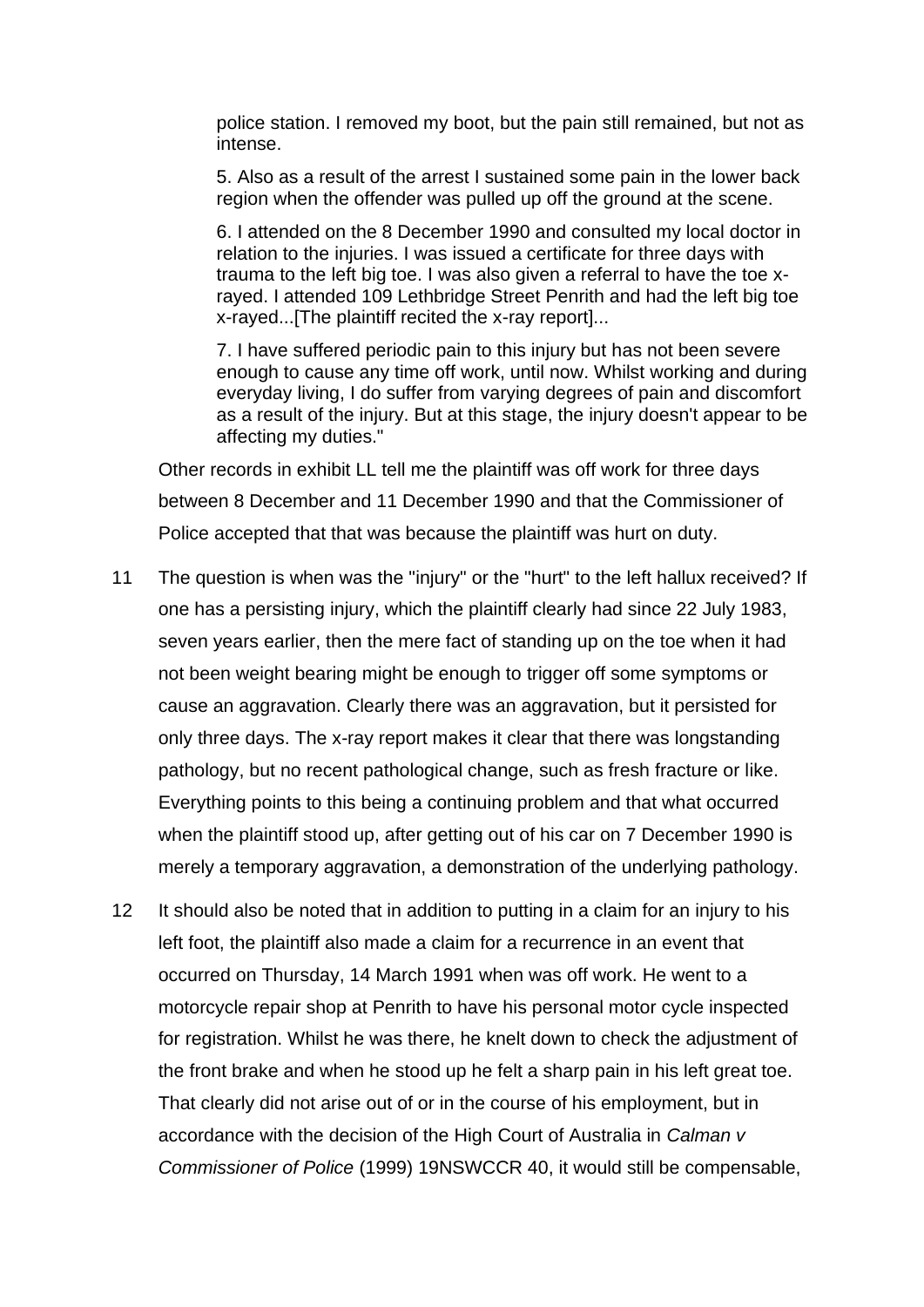police station. I removed my boot, but the pain still remained, but not as intense.

5. Also as a result of the arrest I sustained some pain in the lower back region when the offender was pulled up off the ground at the scene.

6. I attended on the 8 December 1990 and consulted my local doctor in relation to the injuries. I was issued a certificate for three days with trauma to the left big toe. I was also given a referral to have the toe xrayed. I attended 109 Lethbridge Street Penrith and had the left big toe x-rayed...[The plaintiff recited the x-ray report]...

7. I have suffered periodic pain to this injury but has not been severe enough to cause any time off work, until now. Whilst working and during everyday living, I do suffer from varying degrees of pain and discomfort as a result of the injury. But at this stage, the injury doesn't appear to be affecting my duties."

Other records in exhibit LL tell me the plaintiff was off work for three days between 8 December and 11 December 1990 and that the Commissioner of Police accepted that that was because the plaintiff was hurt on duty.

- 11 The question is when was the "injury" or the "hurt" to the left hallux received? If one has a persisting injury, which the plaintiff clearly had since 22 July 1983, seven years earlier, then the mere fact of standing up on the toe when it had not been weight bearing might be enough to trigger off some symptoms or cause an aggravation. Clearly there was an aggravation, but it persisted for only three days. The x-ray report makes it clear that there was longstanding pathology, but no recent pathological change, such as fresh fracture or like. Everything points to this being a continuing problem and that what occurred when the plaintiff stood up, after getting out of his car on 7 December 1990 is merely a temporary aggravation, a demonstration of the underlying pathology.
- 12 It should also be noted that in addition to putting in a claim for an injury to his left foot, the plaintiff also made a claim for a recurrence in an event that occurred on Thursday, 14 March 1991 when was off work. He went to a motorcycle repair shop at Penrith to have his personal motor cycle inspected for registration. Whilst he was there, he knelt down to check the adjustment of the front brake and when he stood up he felt a sharp pain in his left great toe. That clearly did not arise out of or in the course of his employment, but in accordance with the decision of the High Court of Australia in *Calman v Commissioner of Police* (1999) 19NSWCCR 40, it would still be compensable,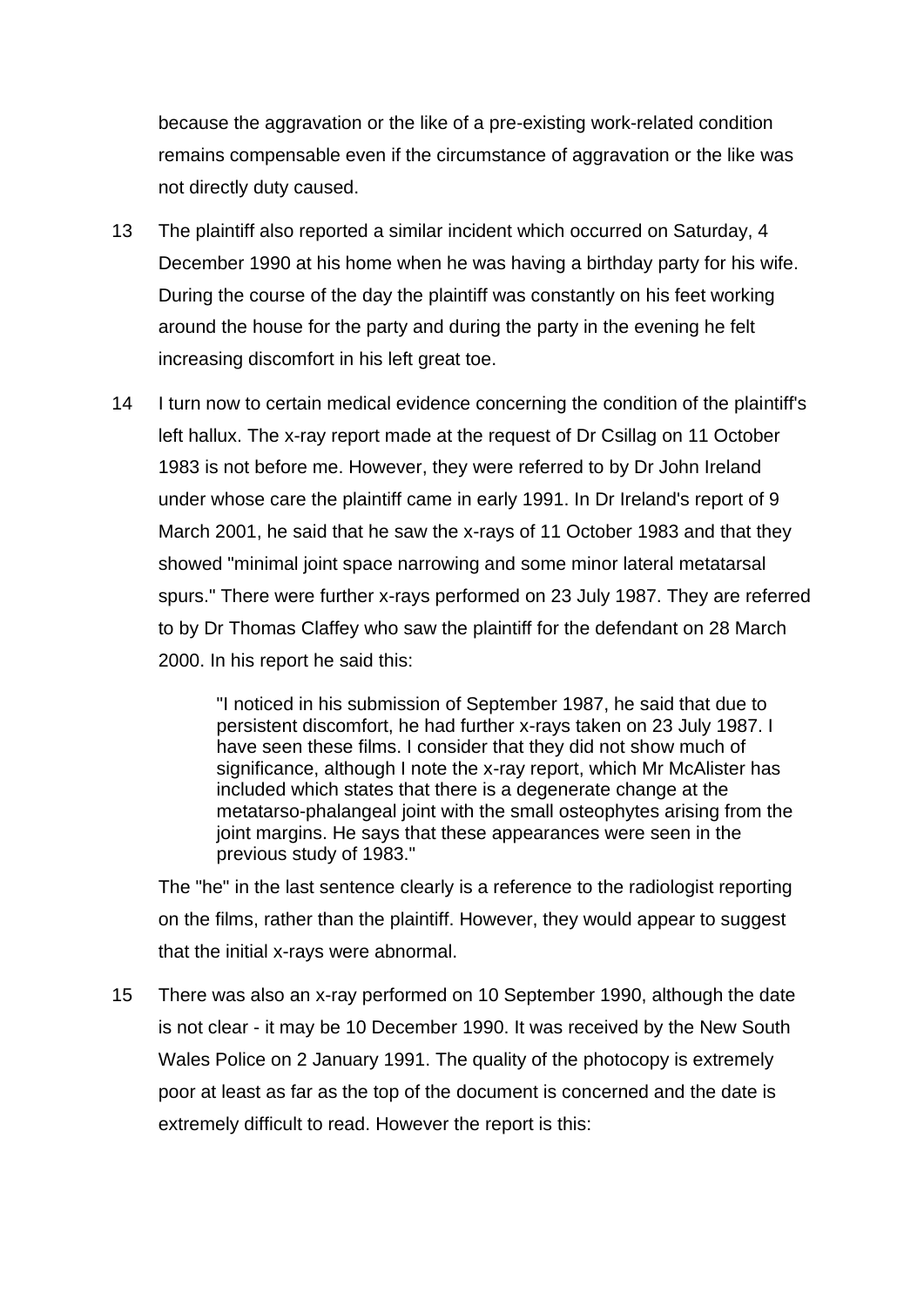because the aggravation or the like of a pre-existing work-related condition remains compensable even if the circumstance of aggravation or the like was not directly duty caused.

- 13 The plaintiff also reported a similar incident which occurred on Saturday, 4 December 1990 at his home when he was having a birthday party for his wife. During the course of the day the plaintiff was constantly on his feet working around the house for the party and during the party in the evening he felt increasing discomfort in his left great toe.
- 14 I turn now to certain medical evidence concerning the condition of the plaintiff's left hallux. The x-ray report made at the request of Dr Csillag on 11 October 1983 is not before me. However, they were referred to by Dr John Ireland under whose care the plaintiff came in early 1991. In Dr Ireland's report of 9 March 2001, he said that he saw the x-rays of 11 October 1983 and that they showed "minimal joint space narrowing and some minor lateral metatarsal spurs." There were further x-rays performed on 23 July 1987. They are referred to by Dr Thomas Claffey who saw the plaintiff for the defendant on 28 March 2000. In his report he said this:

"I noticed in his submission of September 1987, he said that due to persistent discomfort, he had further x-rays taken on 23 July 1987. I have seen these films. I consider that they did not show much of significance, although I note the x-ray report, which Mr McAlister has included which states that there is a degenerate change at the metatarso-phalangeal joint with the small osteophytes arising from the joint margins. He says that these appearances were seen in the previous study of 1983."

The "he" in the last sentence clearly is a reference to the radiologist reporting on the films, rather than the plaintiff. However, they would appear to suggest that the initial x-rays were abnormal.

15 There was also an x-ray performed on 10 September 1990, although the date is not clear - it may be 10 December 1990. It was received by the New South Wales Police on 2 January 1991. The quality of the photocopy is extremely poor at least as far as the top of the document is concerned and the date is extremely difficult to read. However the report is this: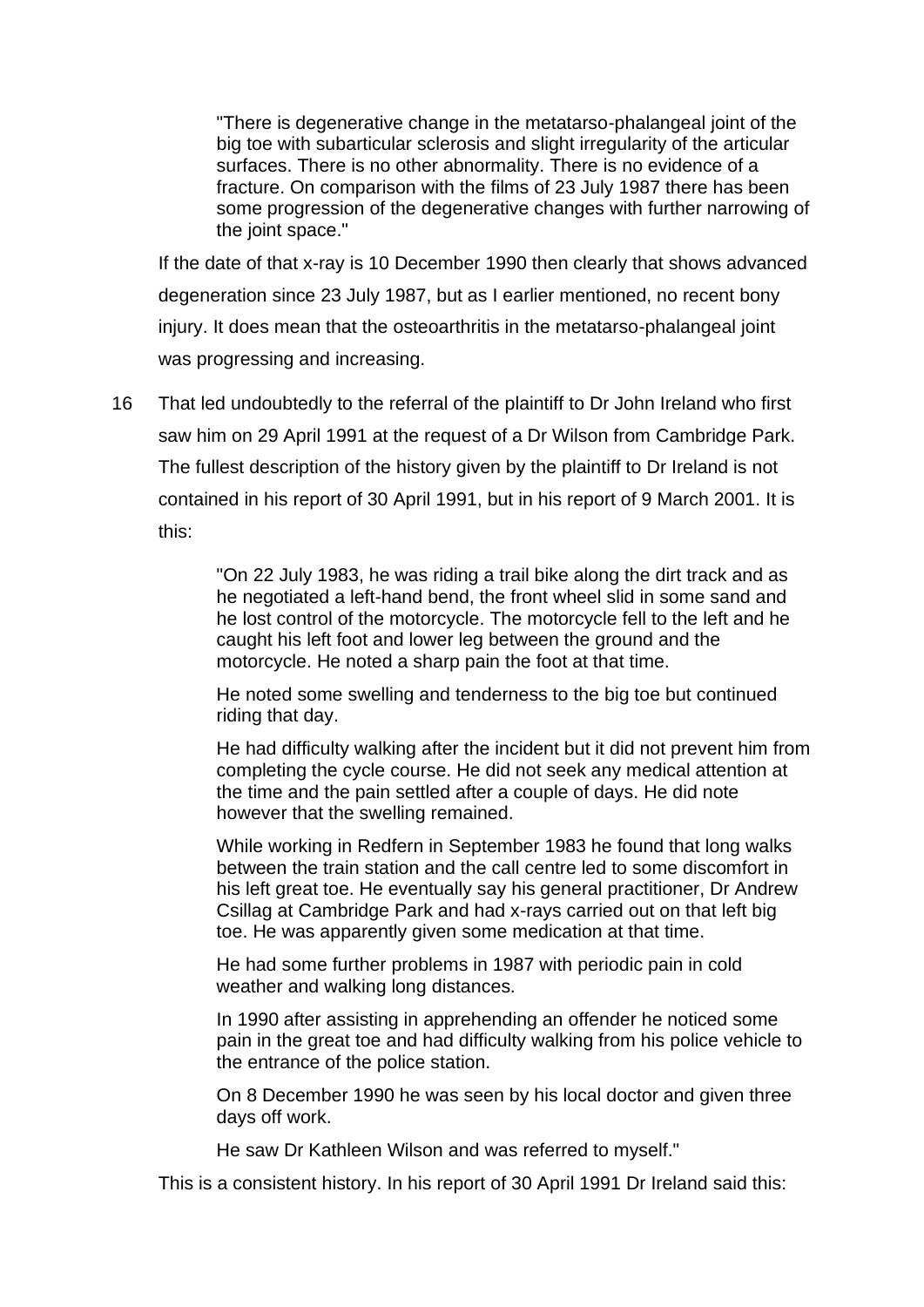"There is degenerative change in the metatarso-phalangeal joint of the big toe with subarticular sclerosis and slight irregularity of the articular surfaces. There is no other abnormality. There is no evidence of a fracture. On comparison with the films of 23 July 1987 there has been some progression of the degenerative changes with further narrowing of the joint space."

If the date of that x-ray is 10 December 1990 then clearly that shows advanced degeneration since 23 July 1987, but as I earlier mentioned, no recent bony injury. It does mean that the osteoarthritis in the metatarso-phalangeal joint was progressing and increasing.

16 That led undoubtedly to the referral of the plaintiff to Dr John Ireland who first saw him on 29 April 1991 at the request of a Dr Wilson from Cambridge Park. The fullest description of the history given by the plaintiff to Dr Ireland is not contained in his report of 30 April 1991, but in his report of 9 March 2001. It is this:

> "On 22 July 1983, he was riding a trail bike along the dirt track and as he negotiated a left-hand bend, the front wheel slid in some sand and he lost control of the motorcycle. The motorcycle fell to the left and he caught his left foot and lower leg between the ground and the motorcycle. He noted a sharp pain the foot at that time.

He noted some swelling and tenderness to the big toe but continued riding that day.

He had difficulty walking after the incident but it did not prevent him from completing the cycle course. He did not seek any medical attention at the time and the pain settled after a couple of days. He did note however that the swelling remained.

While working in Redfern in September 1983 he found that long walks between the train station and the call centre led to some discomfort in his left great toe. He eventually say his general practitioner, Dr Andrew Csillag at Cambridge Park and had x-rays carried out on that left big toe. He was apparently given some medication at that time.

He had some further problems in 1987 with periodic pain in cold weather and walking long distances.

In 1990 after assisting in apprehending an offender he noticed some pain in the great toe and had difficulty walking from his police vehicle to the entrance of the police station.

On 8 December 1990 he was seen by his local doctor and given three days off work.

He saw Dr Kathleen Wilson and was referred to myself."

This is a consistent history. In his report of 30 April 1991 Dr Ireland said this: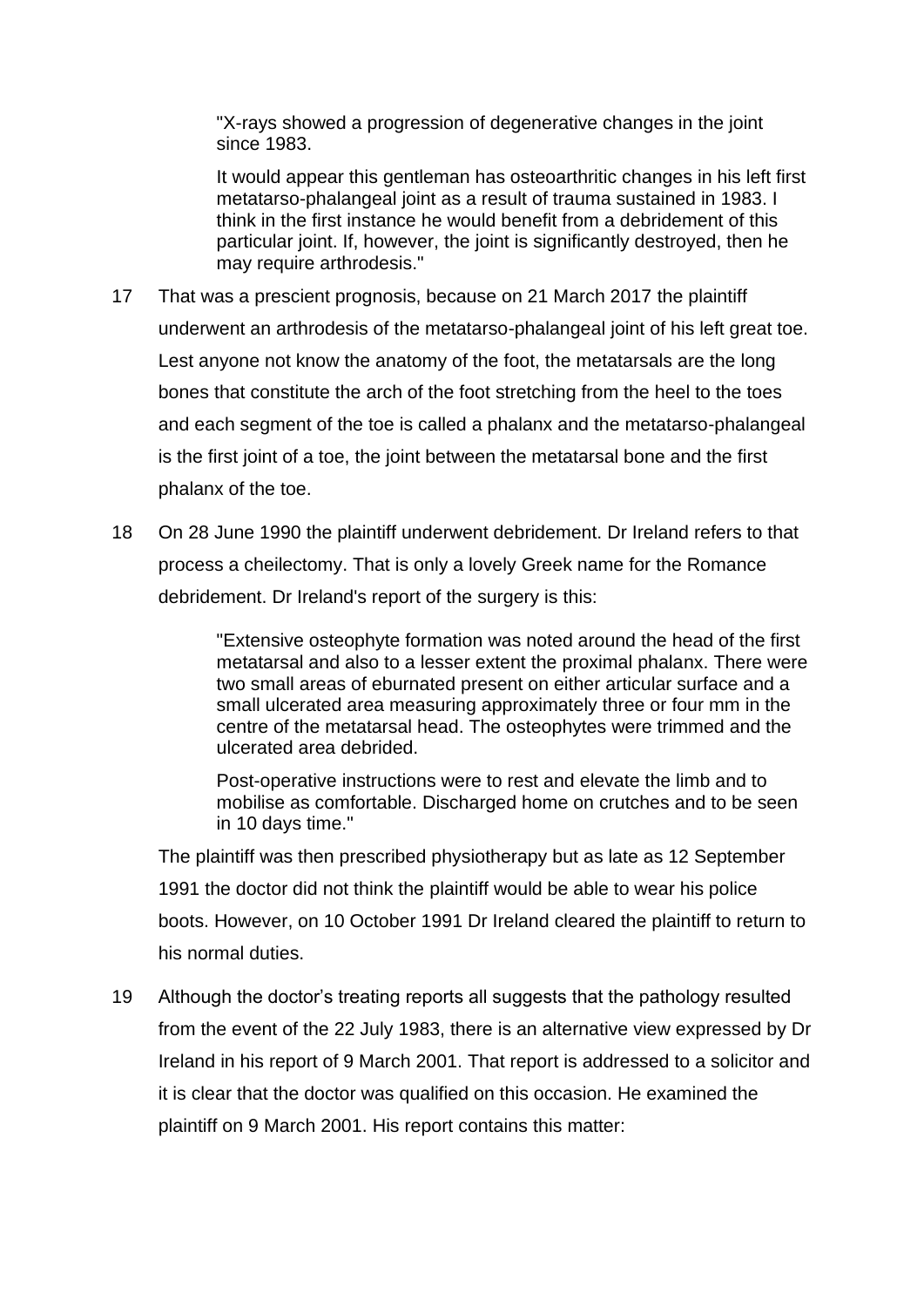"X-rays showed a progression of degenerative changes in the joint since 1983.

It would appear this gentleman has osteoarthritic changes in his left first metatarso-phalangeal joint as a result of trauma sustained in 1983. I think in the first instance he would benefit from a debridement of this particular joint. If, however, the joint is significantly destroyed, then he may require arthrodesis."

- 17 That was a prescient prognosis, because on 21 March 2017 the plaintiff underwent an arthrodesis of the metatarso-phalangeal joint of his left great toe. Lest anyone not know the anatomy of the foot, the metatarsals are the long bones that constitute the arch of the foot stretching from the heel to the toes and each segment of the toe is called a phalanx and the metatarso-phalangeal is the first joint of a toe, the joint between the metatarsal bone and the first phalanx of the toe.
- 18 On 28 June 1990 the plaintiff underwent debridement. Dr Ireland refers to that process a cheilectomy. That is only a lovely Greek name for the Romance debridement. Dr Ireland's report of the surgery is this:

"Extensive osteophyte formation was noted around the head of the first metatarsal and also to a lesser extent the proximal phalanx. There were two small areas of eburnated present on either articular surface and a small ulcerated area measuring approximately three or four mm in the centre of the metatarsal head. The osteophytes were trimmed and the ulcerated area debrided.

Post-operative instructions were to rest and elevate the limb and to mobilise as comfortable. Discharged home on crutches and to be seen in 10 days time."

The plaintiff was then prescribed physiotherapy but as late as 12 September 1991 the doctor did not think the plaintiff would be able to wear his police boots. However, on 10 October 1991 Dr Ireland cleared the plaintiff to return to his normal duties.

19 Although the doctor's treating reports all suggests that the pathology resulted from the event of the 22 July 1983, there is an alternative view expressed by Dr Ireland in his report of 9 March 2001. That report is addressed to a solicitor and it is clear that the doctor was qualified on this occasion. He examined the plaintiff on 9 March 2001. His report contains this matter: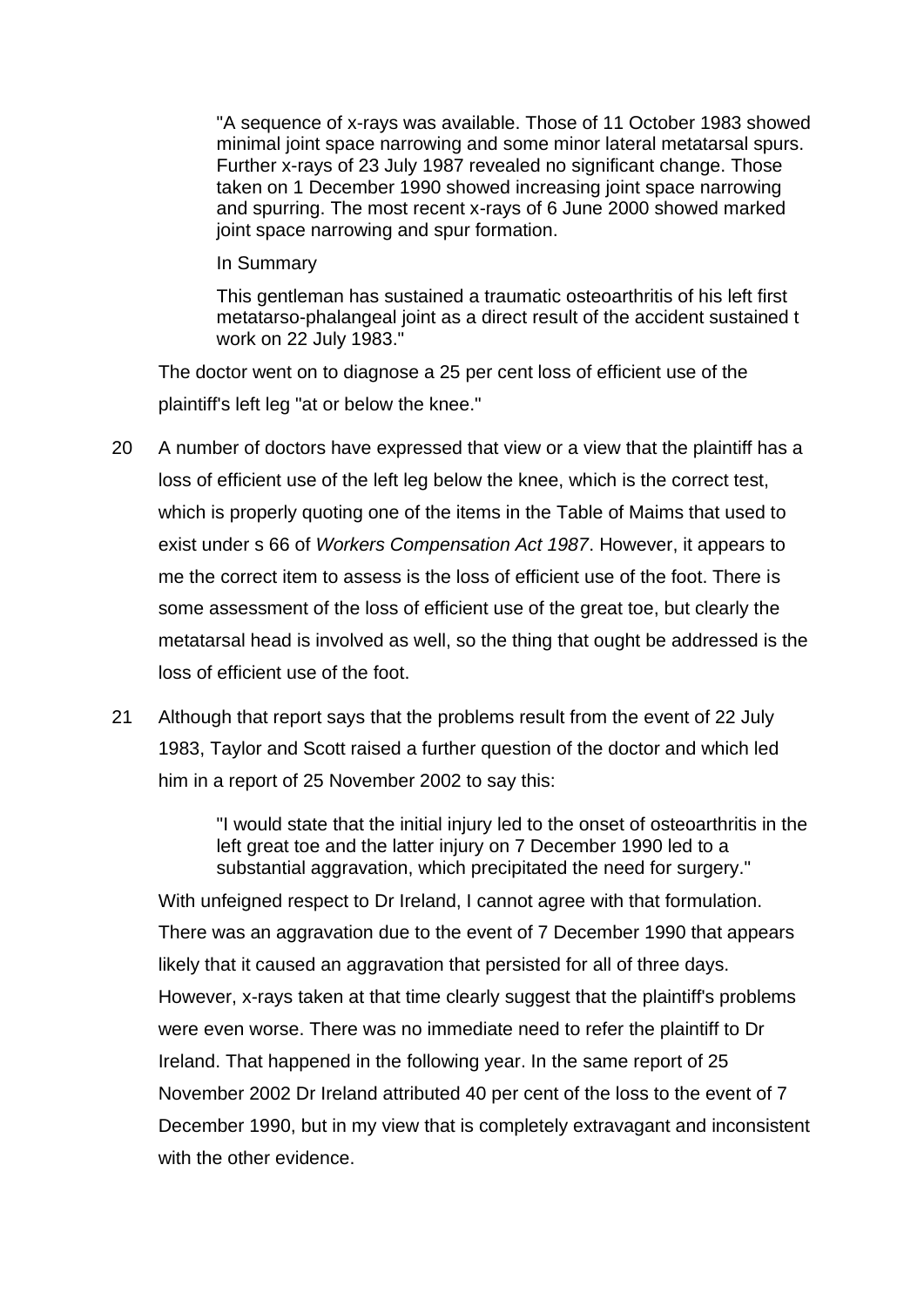"A sequence of x-rays was available. Those of 11 October 1983 showed minimal joint space narrowing and some minor lateral metatarsal spurs. Further x-rays of 23 July 1987 revealed no significant change. Those taken on 1 December 1990 showed increasing joint space narrowing and spurring. The most recent x-rays of 6 June 2000 showed marked joint space narrowing and spur formation.

#### In Summary

This gentleman has sustained a traumatic osteoarthritis of his left first metatarso-phalangeal joint as a direct result of the accident sustained t work on 22 July 1983."

The doctor went on to diagnose a 25 per cent loss of efficient use of the plaintiff's left leg "at or below the knee."

- 20 A number of doctors have expressed that view or a view that the plaintiff has a loss of efficient use of the left leg below the knee, which is the correct test, which is properly quoting one of the items in the Table of Maims that used to exist under s 66 of *Workers Compensation Act 1987*. However, it appears to me the correct item to assess is the loss of efficient use of the foot. There is some assessment of the loss of efficient use of the great toe, but clearly the metatarsal head is involved as well, so the thing that ought be addressed is the loss of efficient use of the foot.
- 21 Although that report says that the problems result from the event of 22 July 1983, Taylor and Scott raised a further question of the doctor and which led him in a report of 25 November 2002 to say this:

"I would state that the initial injury led to the onset of osteoarthritis in the left great toe and the latter injury on 7 December 1990 led to a substantial aggravation, which precipitated the need for surgery."

With unfeigned respect to Dr Ireland, I cannot agree with that formulation. There was an aggravation due to the event of 7 December 1990 that appears likely that it caused an aggravation that persisted for all of three days. However, x-rays taken at that time clearly suggest that the plaintiff's problems were even worse. There was no immediate need to refer the plaintiff to Dr Ireland. That happened in the following year. In the same report of 25 November 2002 Dr Ireland attributed 40 per cent of the loss to the event of 7 December 1990, but in my view that is completely extravagant and inconsistent with the other evidence.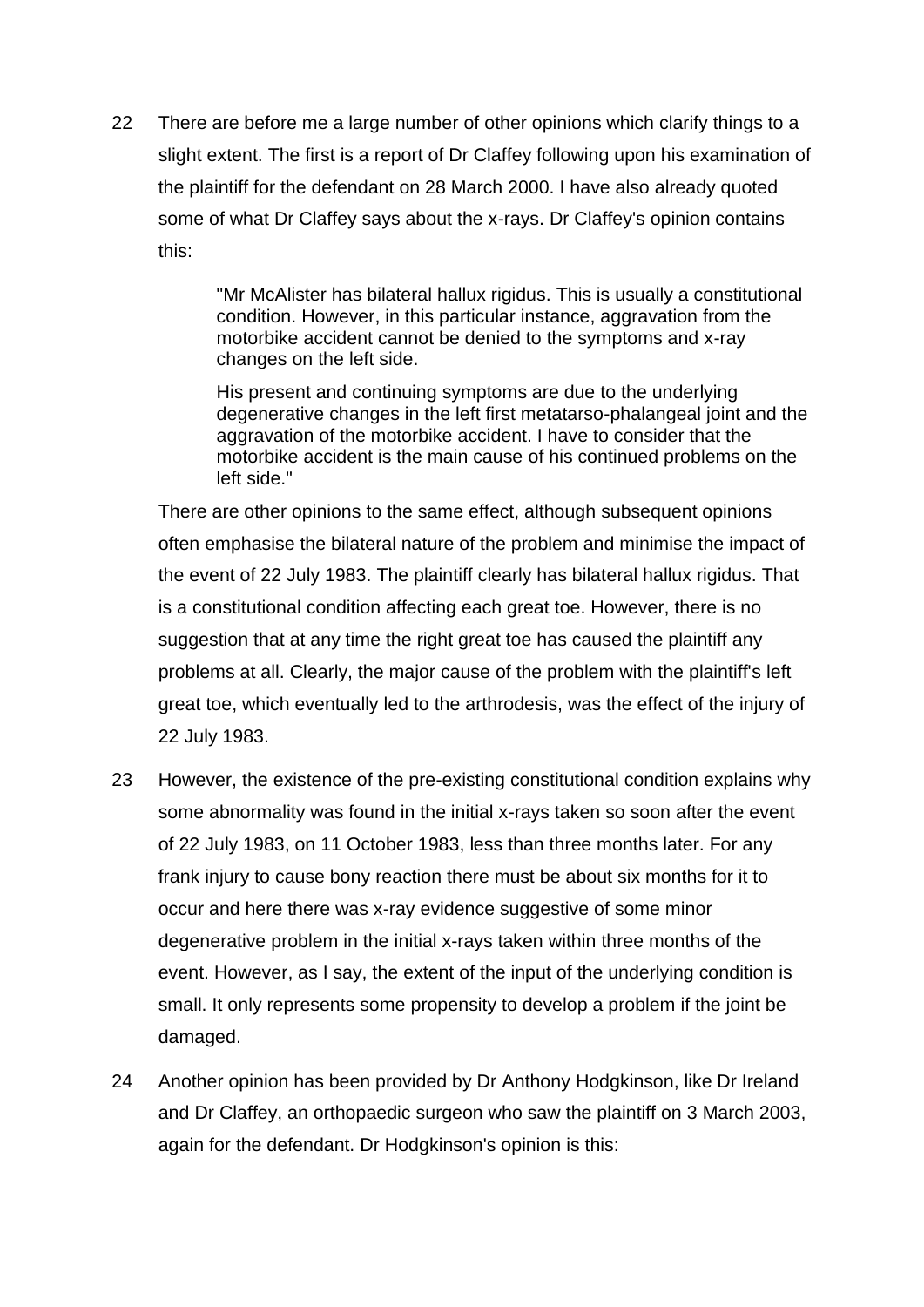22 There are before me a large number of other opinions which clarify things to a slight extent. The first is a report of Dr Claffey following upon his examination of the plaintiff for the defendant on 28 March 2000. I have also already quoted some of what Dr Claffey says about the x-rays. Dr Claffey's opinion contains this:

> "Mr McAlister has bilateral hallux rigidus. This is usually a constitutional condition. However, in this particular instance, aggravation from the motorbike accident cannot be denied to the symptoms and x-ray changes on the left side.

> His present and continuing symptoms are due to the underlying degenerative changes in the left first metatarso-phalangeal joint and the aggravation of the motorbike accident. I have to consider that the motorbike accident is the main cause of his continued problems on the left side."

There are other opinions to the same effect, although subsequent opinions often emphasise the bilateral nature of the problem and minimise the impact of the event of 22 July 1983. The plaintiff clearly has bilateral hallux rigidus. That is a constitutional condition affecting each great toe. However, there is no suggestion that at any time the right great toe has caused the plaintiff any problems at all. Clearly, the major cause of the problem with the plaintiff's left great toe, which eventually led to the arthrodesis, was the effect of the injury of 22 July 1983.

- 23 However, the existence of the pre-existing constitutional condition explains why some abnormality was found in the initial x-rays taken so soon after the event of 22 July 1983, on 11 October 1983, less than three months later. For any frank injury to cause bony reaction there must be about six months for it to occur and here there was x-ray evidence suggestive of some minor degenerative problem in the initial x-rays taken within three months of the event. However, as I say, the extent of the input of the underlying condition is small. It only represents some propensity to develop a problem if the joint be damaged.
- 24 Another opinion has been provided by Dr Anthony Hodgkinson, like Dr Ireland and Dr Claffey, an orthopaedic surgeon who saw the plaintiff on 3 March 2003, again for the defendant. Dr Hodgkinson's opinion is this: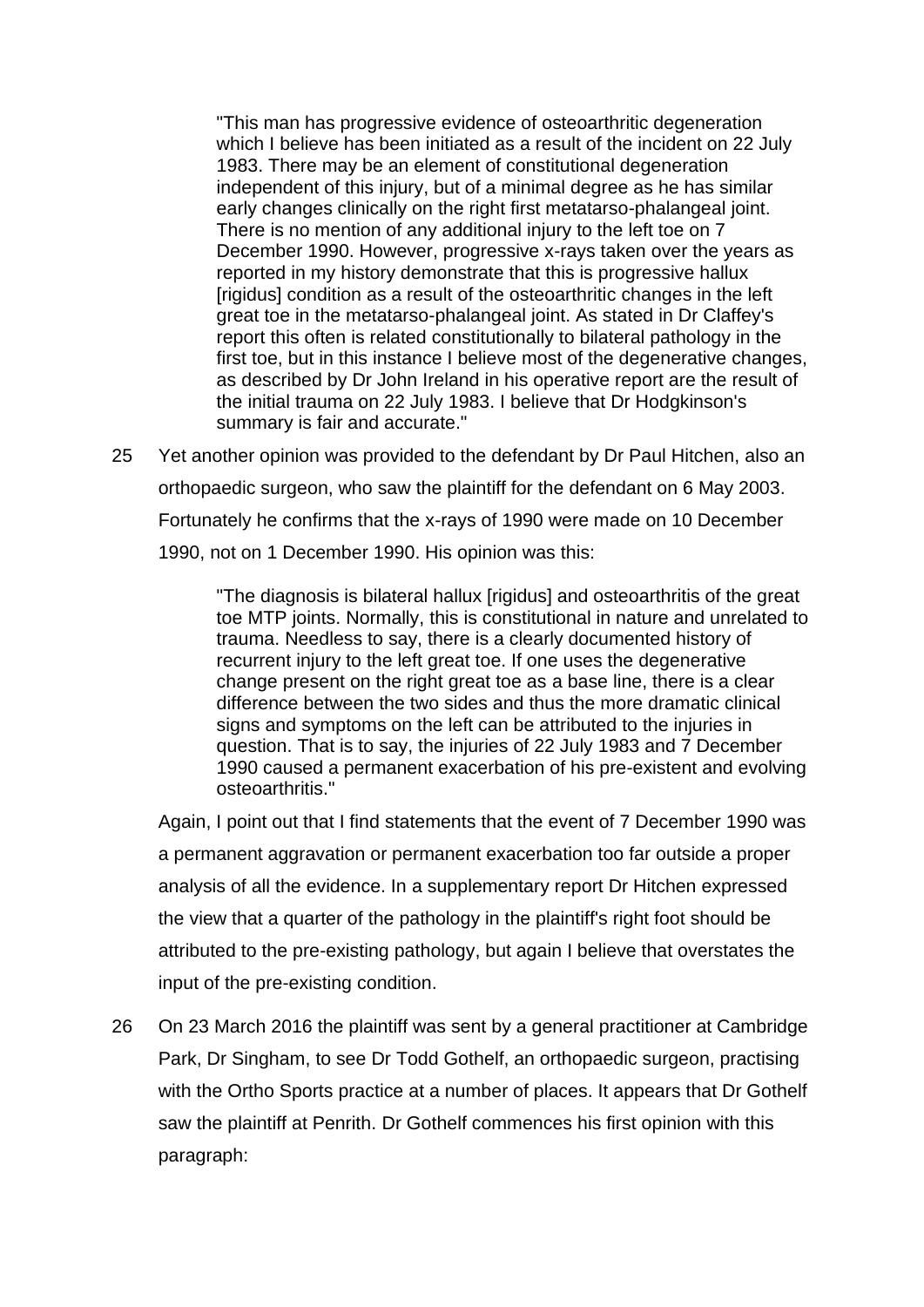"This man has progressive evidence of osteoarthritic degeneration which I believe has been initiated as a result of the incident on 22 July 1983. There may be an element of constitutional degeneration independent of this injury, but of a minimal degree as he has similar early changes clinically on the right first metatarso-phalangeal joint. There is no mention of any additional injury to the left toe on 7 December 1990. However, progressive x-rays taken over the years as reported in my history demonstrate that this is progressive hallux [rigidus] condition as a result of the osteoarthritic changes in the left great toe in the metatarso-phalangeal joint. As stated in Dr Claffey's report this often is related constitutionally to bilateral pathology in the first toe, but in this instance I believe most of the degenerative changes, as described by Dr John Ireland in his operative report are the result of the initial trauma on 22 July 1983. I believe that Dr Hodgkinson's summary is fair and accurate."

25 Yet another opinion was provided to the defendant by Dr Paul Hitchen, also an orthopaedic surgeon, who saw the plaintiff for the defendant on 6 May 2003. Fortunately he confirms that the x-rays of 1990 were made on 10 December 1990, not on 1 December 1990. His opinion was this:

> "The diagnosis is bilateral hallux [rigidus] and osteoarthritis of the great toe MTP joints. Normally, this is constitutional in nature and unrelated to trauma. Needless to say, there is a clearly documented history of recurrent injury to the left great toe. If one uses the degenerative change present on the right great toe as a base line, there is a clear difference between the two sides and thus the more dramatic clinical signs and symptoms on the left can be attributed to the injuries in question. That is to say, the injuries of 22 July 1983 and 7 December 1990 caused a permanent exacerbation of his pre-existent and evolving osteoarthritis."

Again, I point out that I find statements that the event of 7 December 1990 was a permanent aggravation or permanent exacerbation too far outside a proper analysis of all the evidence. In a supplementary report Dr Hitchen expressed the view that a quarter of the pathology in the plaintiff's right foot should be attributed to the pre-existing pathology, but again I believe that overstates the input of the pre-existing condition.

26 On 23 March 2016 the plaintiff was sent by a general practitioner at Cambridge Park, Dr Singham, to see Dr Todd Gothelf, an orthopaedic surgeon, practising with the Ortho Sports practice at a number of places. It appears that Dr Gothelf saw the plaintiff at Penrith. Dr Gothelf commences his first opinion with this paragraph: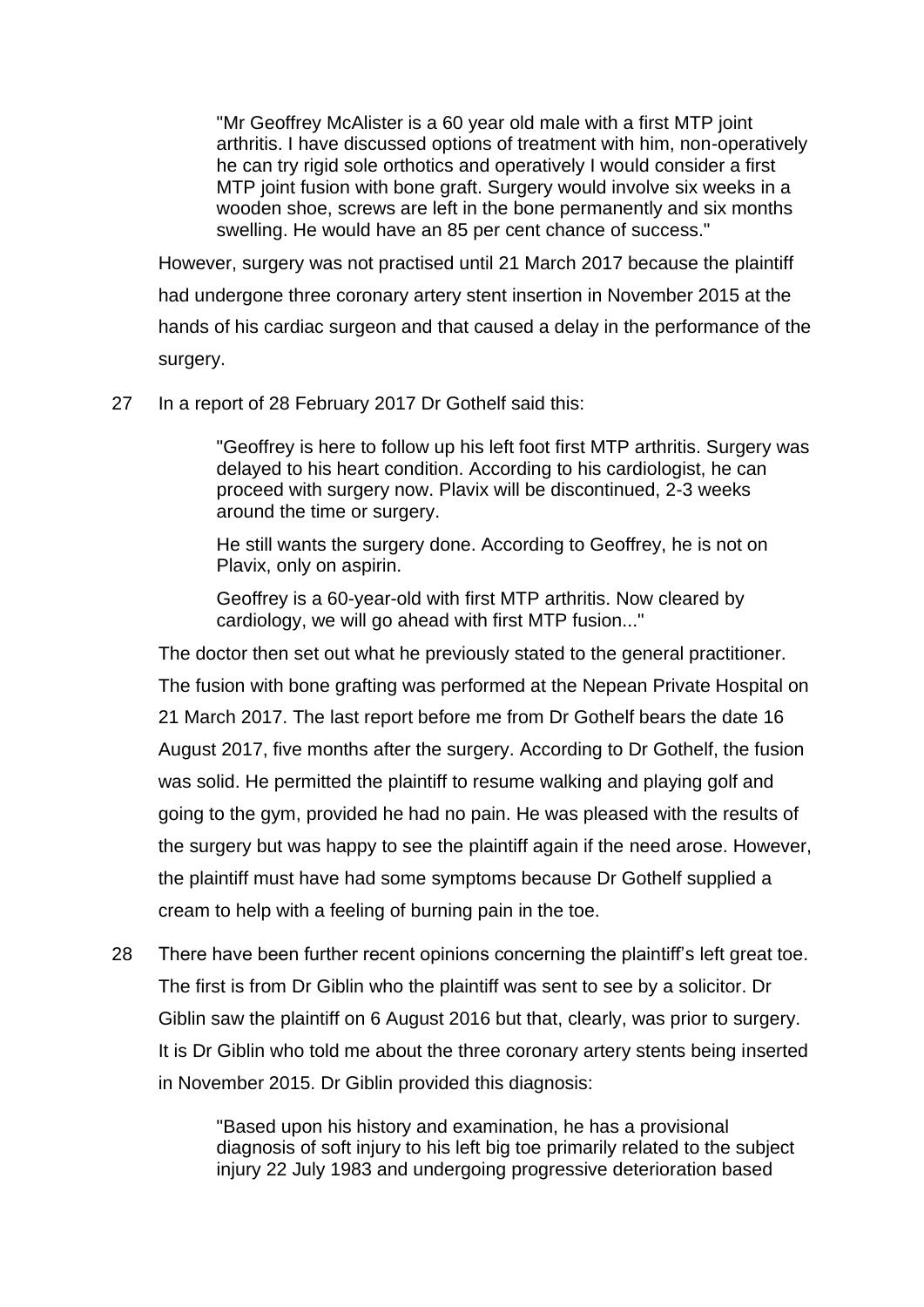"Mr Geoffrey McAlister is a 60 year old male with a first MTP joint arthritis. I have discussed options of treatment with him, non-operatively he can try rigid sole orthotics and operatively I would consider a first MTP joint fusion with bone graft. Surgery would involve six weeks in a wooden shoe, screws are left in the bone permanently and six months swelling. He would have an 85 per cent chance of success."

However, surgery was not practised until 21 March 2017 because the plaintiff had undergone three coronary artery stent insertion in November 2015 at the hands of his cardiac surgeon and that caused a delay in the performance of the surgery.

27 In a report of 28 February 2017 Dr Gothelf said this:

"Geoffrey is here to follow up his left foot first MTP arthritis. Surgery was delayed to his heart condition. According to his cardiologist, he can proceed with surgery now. Plavix will be discontinued, 2-3 weeks around the time or surgery.

He still wants the surgery done. According to Geoffrey, he is not on Plavix, only on aspirin.

Geoffrey is a 60-year-old with first MTP arthritis. Now cleared by cardiology, we will go ahead with first MTP fusion..."

The doctor then set out what he previously stated to the general practitioner.

The fusion with bone grafting was performed at the Nepean Private Hospital on

21 March 2017. The last report before me from Dr Gothelf bears the date 16 August 2017, five months after the surgery. According to Dr Gothelf, the fusion was solid. He permitted the plaintiff to resume walking and playing golf and going to the gym, provided he had no pain. He was pleased with the results of the surgery but was happy to see the plaintiff again if the need arose. However, the plaintiff must have had some symptoms because Dr Gothelf supplied a cream to help with a feeling of burning pain in the toe.

28 There have been further recent opinions concerning the plaintiff's left great toe. The first is from Dr Giblin who the plaintiff was sent to see by a solicitor. Dr Giblin saw the plaintiff on 6 August 2016 but that, clearly, was prior to surgery. It is Dr Giblin who told me about the three coronary artery stents being inserted in November 2015. Dr Giblin provided this diagnosis:

> "Based upon his history and examination, he has a provisional diagnosis of soft injury to his left big toe primarily related to the subject injury 22 July 1983 and undergoing progressive deterioration based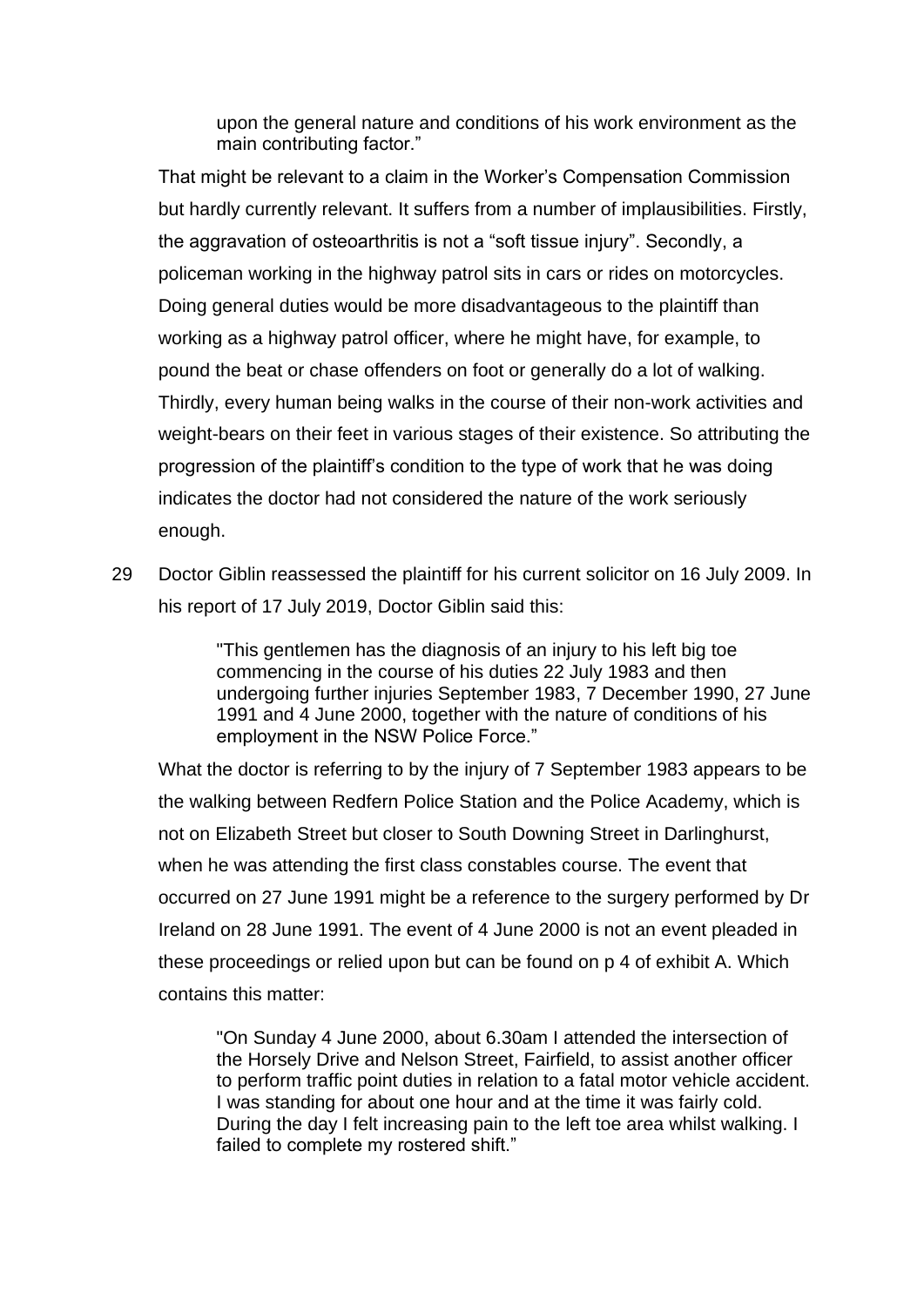upon the general nature and conditions of his work environment as the main contributing factor."

That might be relevant to a claim in the Worker's Compensation Commission but hardly currently relevant. It suffers from a number of implausibilities. Firstly, the aggravation of osteoarthritis is not a "soft tissue injury". Secondly, a policeman working in the highway patrol sits in cars or rides on motorcycles. Doing general duties would be more disadvantageous to the plaintiff than working as a highway patrol officer, where he might have, for example, to pound the beat or chase offenders on foot or generally do a lot of walking. Thirdly, every human being walks in the course of their non-work activities and weight-bears on their feet in various stages of their existence. So attributing the progression of the plaintiff's condition to the type of work that he was doing indicates the doctor had not considered the nature of the work seriously enough.

29 Doctor Giblin reassessed the plaintiff for his current solicitor on 16 July 2009. In his report of 17 July 2019, Doctor Giblin said this:

> "This gentlemen has the diagnosis of an injury to his left big toe commencing in the course of his duties 22 July 1983 and then undergoing further injuries September 1983, 7 December 1990, 27 June 1991 and 4 June 2000, together with the nature of conditions of his employment in the NSW Police Force."

What the doctor is referring to by the injury of 7 September 1983 appears to be the walking between Redfern Police Station and the Police Academy, which is not on Elizabeth Street but closer to South Downing Street in Darlinghurst, when he was attending the first class constables course. The event that occurred on 27 June 1991 might be a reference to the surgery performed by Dr Ireland on 28 June 1991. The event of 4 June 2000 is not an event pleaded in these proceedings or relied upon but can be found on p 4 of exhibit A. Which contains this matter:

"On Sunday 4 June 2000, about 6.30am I attended the intersection of the Horsely Drive and Nelson Street, Fairfield, to assist another officer to perform traffic point duties in relation to a fatal motor vehicle accident. I was standing for about one hour and at the time it was fairly cold. During the day I felt increasing pain to the left toe area whilst walking. I failed to complete my rostered shift."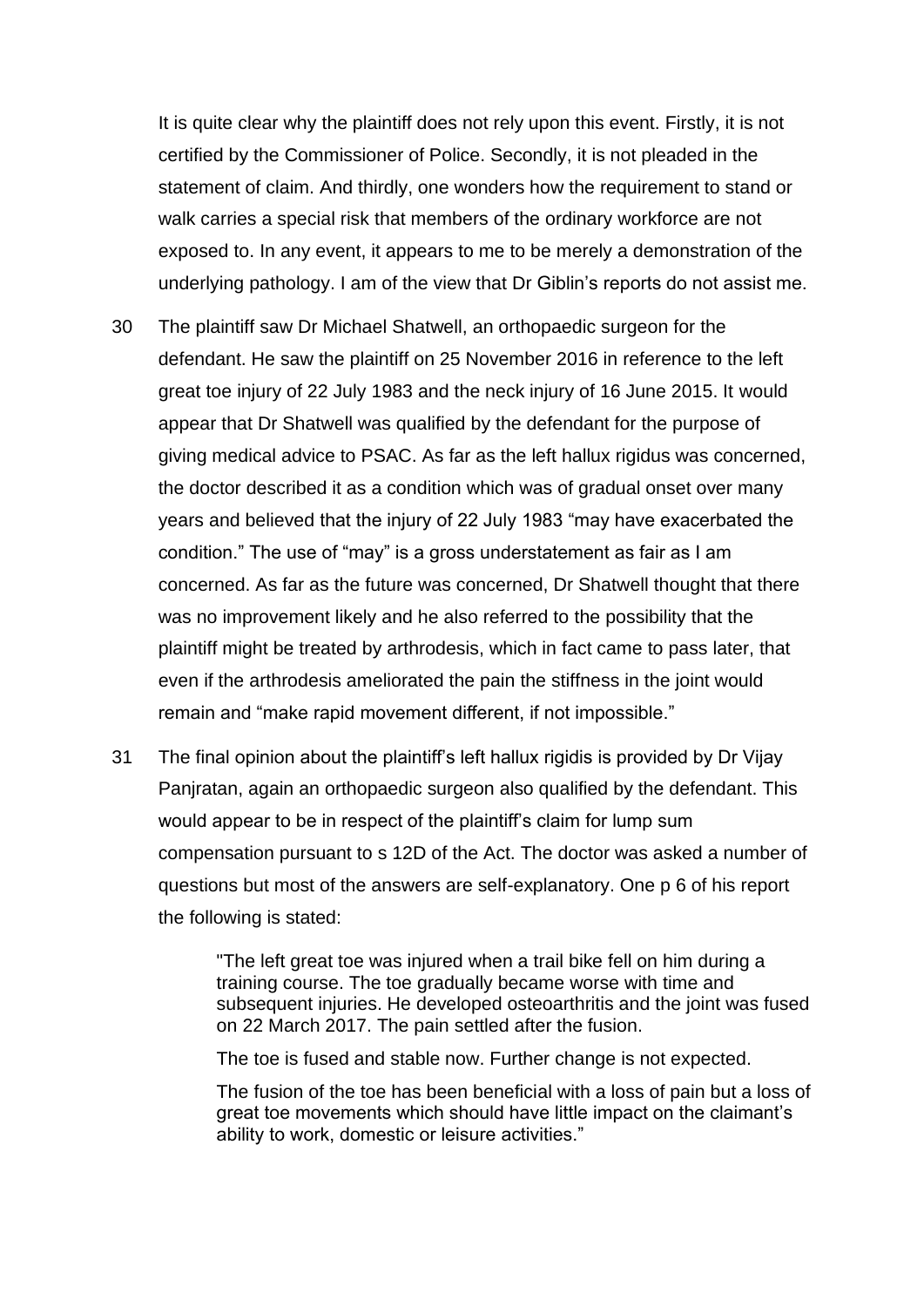It is quite clear why the plaintiff does not rely upon this event. Firstly, it is not certified by the Commissioner of Police. Secondly, it is not pleaded in the statement of claim. And thirdly, one wonders how the requirement to stand or walk carries a special risk that members of the ordinary workforce are not exposed to. In any event, it appears to me to be merely a demonstration of the underlying pathology. I am of the view that Dr Giblin's reports do not assist me.

- 30 The plaintiff saw Dr Michael Shatwell, an orthopaedic surgeon for the defendant. He saw the plaintiff on 25 November 2016 in reference to the left great toe injury of 22 July 1983 and the neck injury of 16 June 2015. It would appear that Dr Shatwell was qualified by the defendant for the purpose of giving medical advice to PSAC. As far as the left hallux rigidus was concerned, the doctor described it as a condition which was of gradual onset over many years and believed that the injury of 22 July 1983 "may have exacerbated the condition." The use of "may" is a gross understatement as fair as I am concerned. As far as the future was concerned, Dr Shatwell thought that there was no improvement likely and he also referred to the possibility that the plaintiff might be treated by arthrodesis, which in fact came to pass later, that even if the arthrodesis ameliorated the pain the stiffness in the joint would remain and "make rapid movement different, if not impossible."
- 31 The final opinion about the plaintiff's left hallux rigidis is provided by Dr Vijay Panjratan, again an orthopaedic surgeon also qualified by the defendant. This would appear to be in respect of the plaintiff's claim for lump sum compensation pursuant to s 12D of the Act. The doctor was asked a number of questions but most of the answers are self-explanatory. One p 6 of his report the following is stated:

"The left great toe was injured when a trail bike fell on him during a training course. The toe gradually became worse with time and subsequent injuries. He developed osteoarthritis and the joint was fused on 22 March 2017. The pain settled after the fusion.

The toe is fused and stable now. Further change is not expected.

The fusion of the toe has been beneficial with a loss of pain but a loss of great toe movements which should have little impact on the claimant's ability to work, domestic or leisure activities."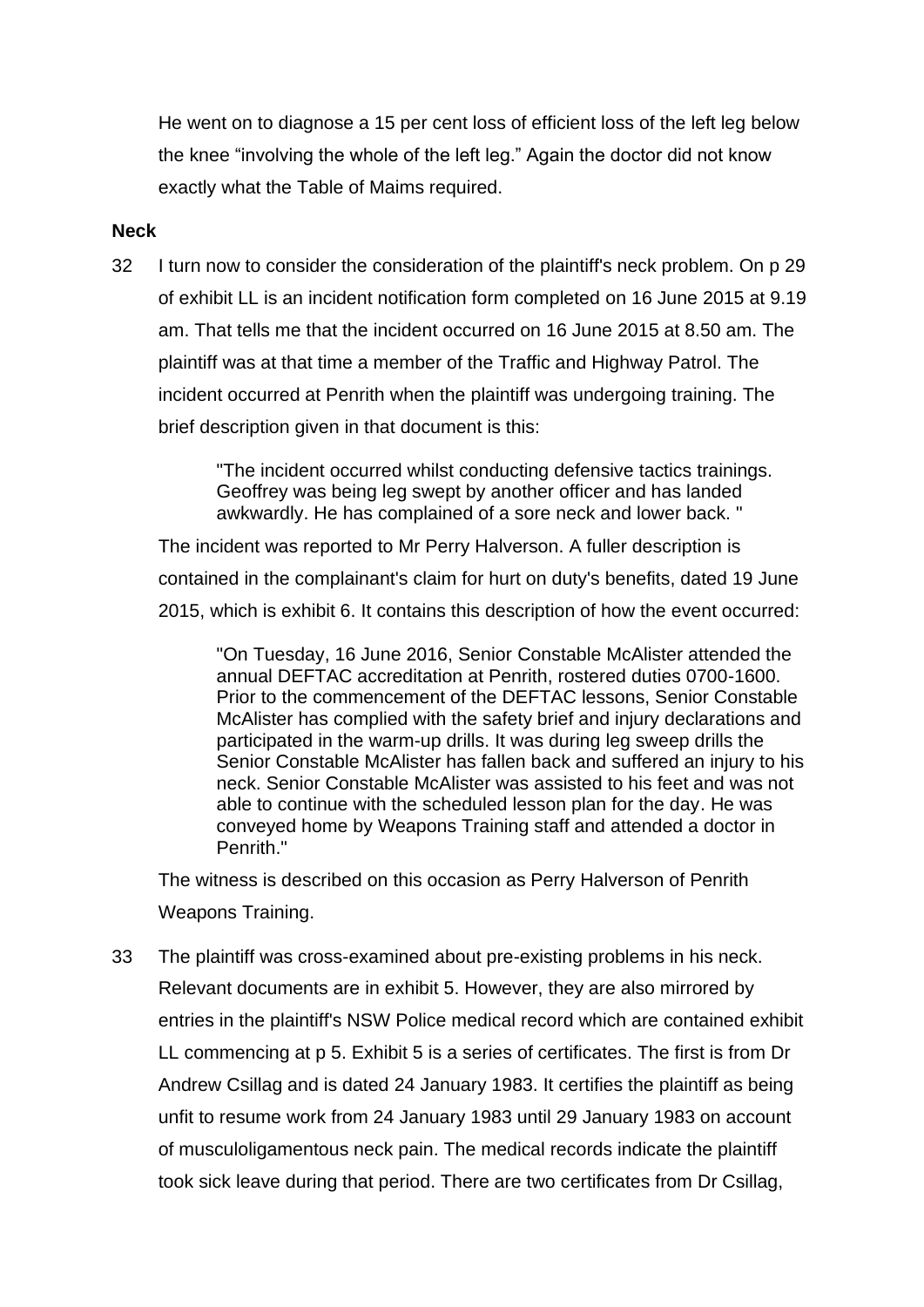He went on to diagnose a 15 per cent loss of efficient loss of the left leg below the knee "involving the whole of the left leg." Again the doctor did not know exactly what the Table of Maims required.

#### **Neck**

32 I turn now to consider the consideration of the plaintiff's neck problem. On p 29 of exhibit LL is an incident notification form completed on 16 June 2015 at 9.19 am. That tells me that the incident occurred on 16 June 2015 at 8.50 am. The plaintiff was at that time a member of the Traffic and Highway Patrol. The incident occurred at Penrith when the plaintiff was undergoing training. The brief description given in that document is this:

> "The incident occurred whilst conducting defensive tactics trainings. Geoffrey was being leg swept by another officer and has landed awkwardly. He has complained of a sore neck and lower back. "

The incident was reported to Mr Perry Halverson. A fuller description is contained in the complainant's claim for hurt on duty's benefits, dated 19 June 2015, which is exhibit 6. It contains this description of how the event occurred:

"On Tuesday, 16 June 2016, Senior Constable McAlister attended the annual DEFTAC accreditation at Penrith, rostered duties 0700-1600. Prior to the commencement of the DEFTAC lessons, Senior Constable McAlister has complied with the safety brief and injury declarations and participated in the warm-up drills. It was during leg sweep drills the Senior Constable McAlister has fallen back and suffered an injury to his neck. Senior Constable McAlister was assisted to his feet and was not able to continue with the scheduled lesson plan for the day. He was conveyed home by Weapons Training staff and attended a doctor in Penrith."

The witness is described on this occasion as Perry Halverson of Penrith Weapons Training.

33 The plaintiff was cross-examined about pre-existing problems in his neck. Relevant documents are in exhibit 5. However, they are also mirrored by entries in the plaintiff's NSW Police medical record which are contained exhibit LL commencing at p 5. Exhibit 5 is a series of certificates. The first is from Dr Andrew Csillag and is dated 24 January 1983. It certifies the plaintiff as being unfit to resume work from 24 January 1983 until 29 January 1983 on account of musculoligamentous neck pain. The medical records indicate the plaintiff took sick leave during that period. There are two certificates from Dr Csillag,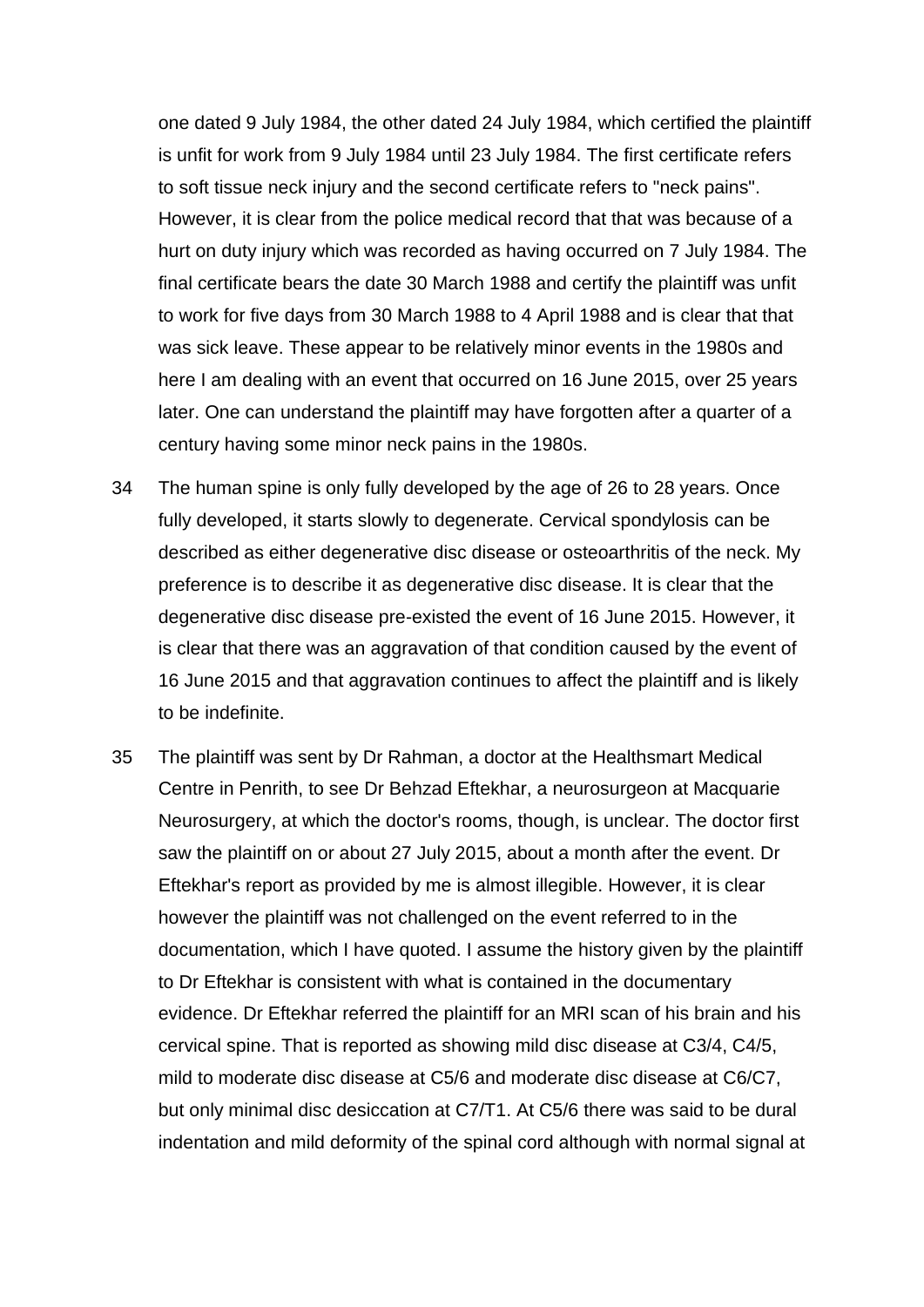one dated 9 July 1984, the other dated 24 July 1984, which certified the plaintiff is unfit for work from 9 July 1984 until 23 July 1984. The first certificate refers to soft tissue neck injury and the second certificate refers to "neck pains". However, it is clear from the police medical record that that was because of a hurt on duty injury which was recorded as having occurred on 7 July 1984. The final certificate bears the date 30 March 1988 and certify the plaintiff was unfit to work for five days from 30 March 1988 to 4 April 1988 and is clear that that was sick leave. These appear to be relatively minor events in the 1980s and here I am dealing with an event that occurred on 16 June 2015, over 25 years later. One can understand the plaintiff may have forgotten after a quarter of a century having some minor neck pains in the 1980s.

- 34 The human spine is only fully developed by the age of 26 to 28 years. Once fully developed, it starts slowly to degenerate. Cervical spondylosis can be described as either degenerative disc disease or osteoarthritis of the neck. My preference is to describe it as degenerative disc disease. It is clear that the degenerative disc disease pre-existed the event of 16 June 2015. However, it is clear that there was an aggravation of that condition caused by the event of 16 June 2015 and that aggravation continues to affect the plaintiff and is likely to be indefinite.
- 35 The plaintiff was sent by Dr Rahman, a doctor at the Healthsmart Medical Centre in Penrith, to see Dr Behzad Eftekhar, a neurosurgeon at Macquarie Neurosurgery, at which the doctor's rooms, though, is unclear. The doctor first saw the plaintiff on or about 27 July 2015, about a month after the event. Dr Eftekhar's report as provided by me is almost illegible. However, it is clear however the plaintiff was not challenged on the event referred to in the documentation, which I have quoted. I assume the history given by the plaintiff to Dr Eftekhar is consistent with what is contained in the documentary evidence. Dr Eftekhar referred the plaintiff for an MRI scan of his brain and his cervical spine. That is reported as showing mild disc disease at C3/4, C4/5, mild to moderate disc disease at C5/6 and moderate disc disease at C6/C7, but only minimal disc desiccation at C7/T1. At C5/6 there was said to be dural indentation and mild deformity of the spinal cord although with normal signal at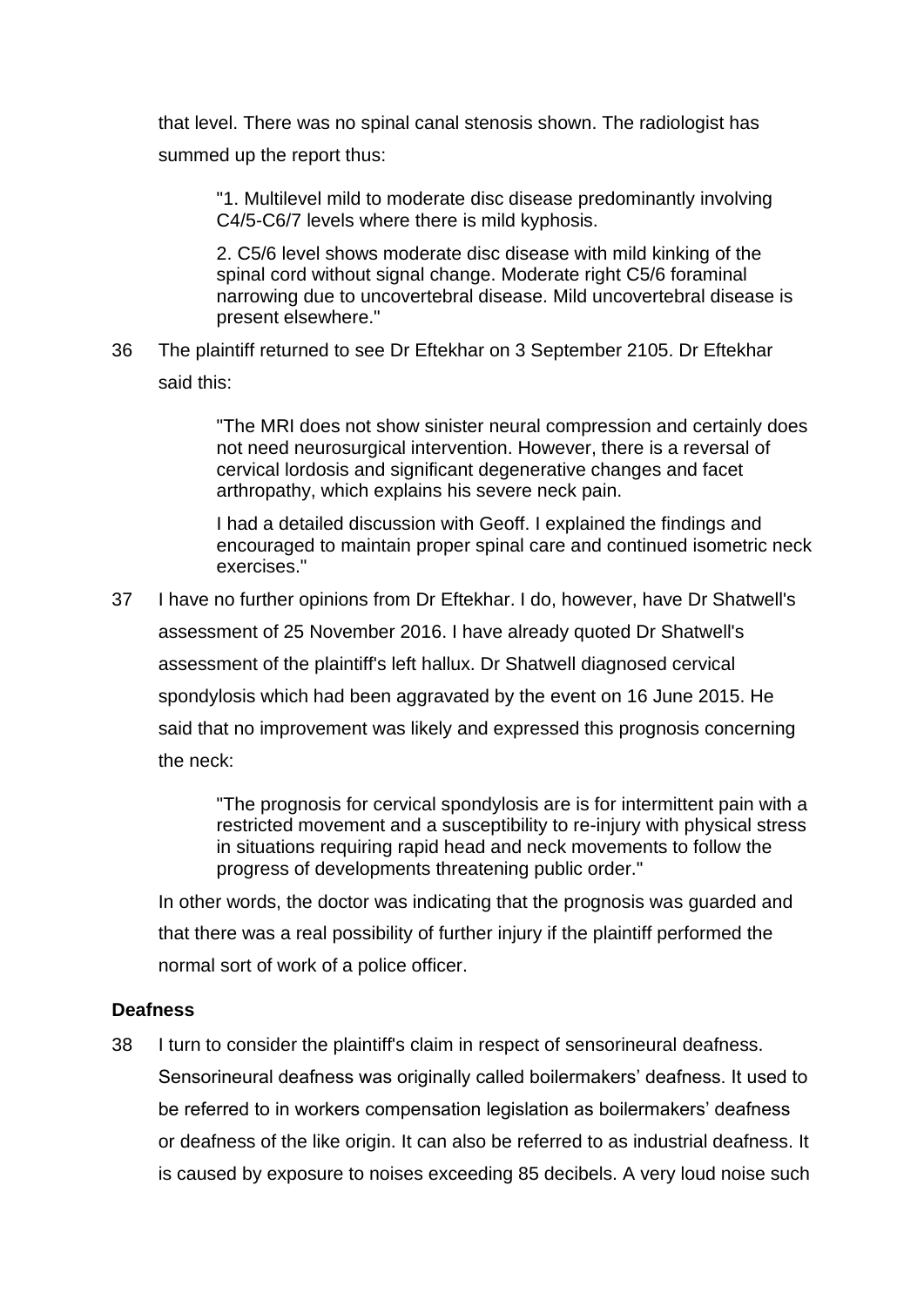that level. There was no spinal canal stenosis shown. The radiologist has summed up the report thus:

"1. Multilevel mild to moderate disc disease predominantly involving C4/5-C6/7 levels where there is mild kyphosis.

2. C5/6 level shows moderate disc disease with mild kinking of the spinal cord without signal change. Moderate right C5/6 foraminal narrowing due to uncovertebral disease. Mild uncovertebral disease is present elsewhere."

36 The plaintiff returned to see Dr Eftekhar on 3 September 2105. Dr Eftekhar said this:

> "The MRI does not show sinister neural compression and certainly does not need neurosurgical intervention. However, there is a reversal of cervical lordosis and significant degenerative changes and facet arthropathy, which explains his severe neck pain.

> I had a detailed discussion with Geoff. I explained the findings and encouraged to maintain proper spinal care and continued isometric neck exercises."

37 I have no further opinions from Dr Eftekhar. I do, however, have Dr Shatwell's assessment of 25 November 2016. I have already quoted Dr Shatwell's assessment of the plaintiff's left hallux. Dr Shatwell diagnosed cervical spondylosis which had been aggravated by the event on 16 June 2015. He said that no improvement was likely and expressed this prognosis concerning the neck:

> "The prognosis for cervical spondylosis are is for intermittent pain with a restricted movement and a susceptibility to re-injury with physical stress in situations requiring rapid head and neck movements to follow the progress of developments threatening public order."

In other words, the doctor was indicating that the prognosis was guarded and that there was a real possibility of further injury if the plaintiff performed the normal sort of work of a police officer.

# **Deafness**

38 I turn to consider the plaintiff's claim in respect of sensorineural deafness. Sensorineural deafness was originally called boilermakers' deafness. It used to be referred to in workers compensation legislation as boilermakers' deafness or deafness of the like origin. It can also be referred to as industrial deafness. It is caused by exposure to noises exceeding 85 decibels. A very loud noise such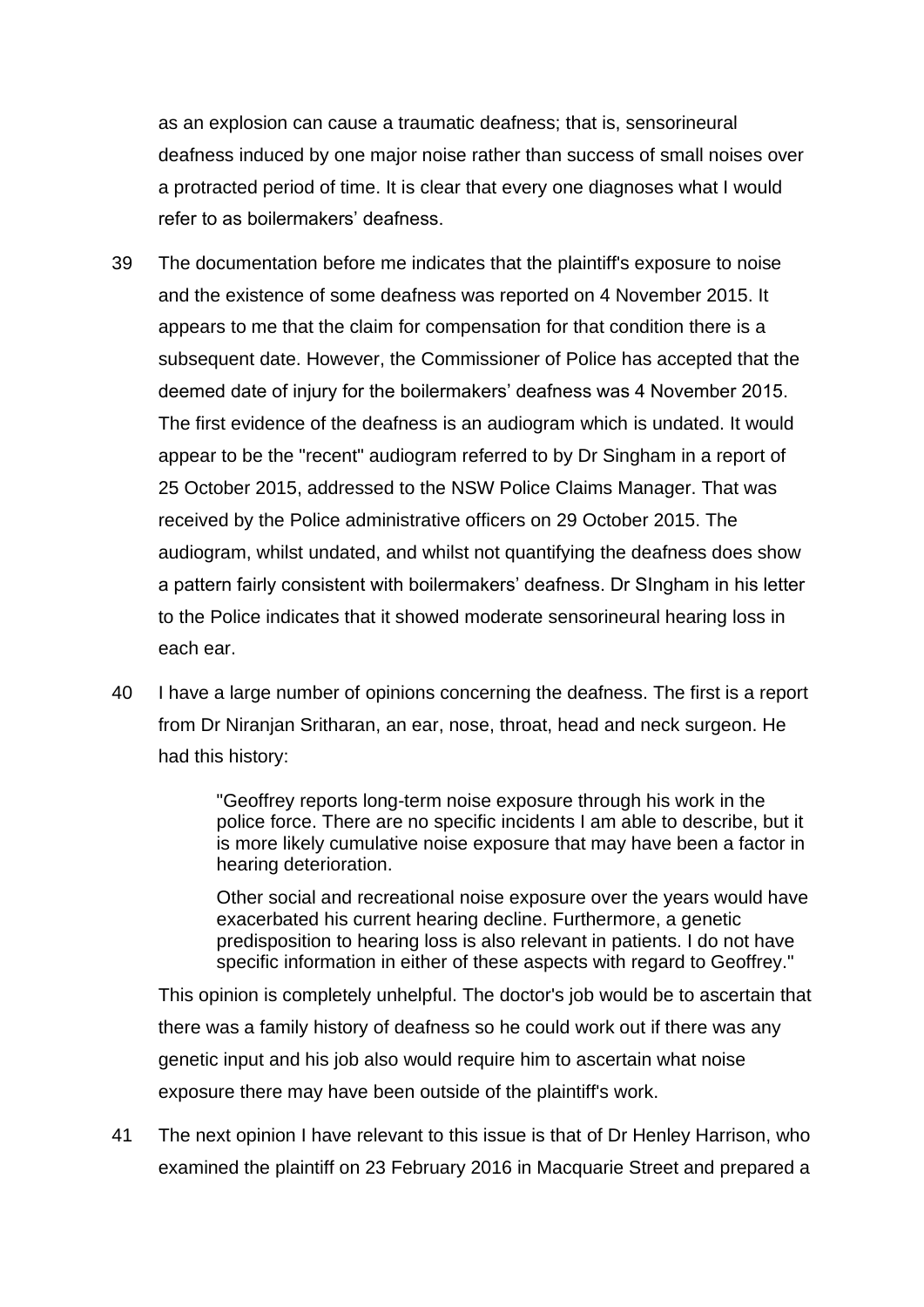as an explosion can cause a traumatic deafness; that is, sensorineural deafness induced by one major noise rather than success of small noises over a protracted period of time. It is clear that every one diagnoses what I would refer to as boilermakers' deafness.

- 39 The documentation before me indicates that the plaintiff's exposure to noise and the existence of some deafness was reported on 4 November 2015. It appears to me that the claim for compensation for that condition there is a subsequent date. However, the Commissioner of Police has accepted that the deemed date of injury for the boilermakers' deafness was 4 November 2015. The first evidence of the deafness is an audiogram which is undated. It would appear to be the "recent" audiogram referred to by Dr Singham in a report of 25 October 2015, addressed to the NSW Police Claims Manager. That was received by the Police administrative officers on 29 October 2015. The audiogram, whilst undated, and whilst not quantifying the deafness does show a pattern fairly consistent with boilermakers' deafness. Dr SIngham in his letter to the Police indicates that it showed moderate sensorineural hearing loss in each ear.
- 40 I have a large number of opinions concerning the deafness. The first is a report from Dr Niranjan Sritharan, an ear, nose, throat, head and neck surgeon. He had this history:

"Geoffrey reports long-term noise exposure through his work in the police force. There are no specific incidents I am able to describe, but it is more likely cumulative noise exposure that may have been a factor in hearing deterioration.

Other social and recreational noise exposure over the years would have exacerbated his current hearing decline. Furthermore, a genetic predisposition to hearing loss is also relevant in patients. I do not have specific information in either of these aspects with regard to Geoffrey."

This opinion is completely unhelpful. The doctor's job would be to ascertain that there was a family history of deafness so he could work out if there was any genetic input and his job also would require him to ascertain what noise exposure there may have been outside of the plaintiff's work.

41 The next opinion I have relevant to this issue is that of Dr Henley Harrison, who examined the plaintiff on 23 February 2016 in Macquarie Street and prepared a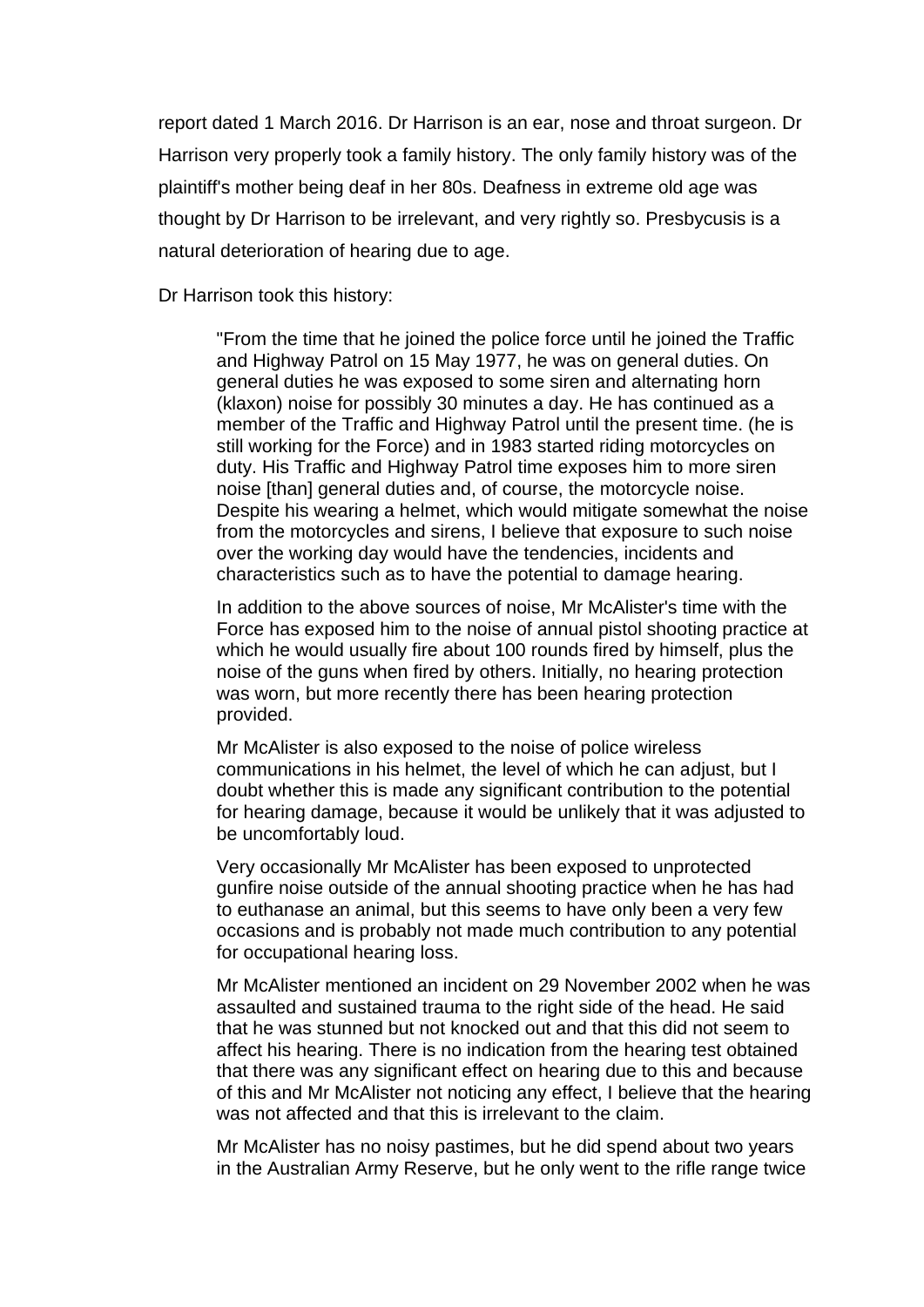report dated 1 March 2016. Dr Harrison is an ear, nose and throat surgeon. Dr Harrison very properly took a family history. The only family history was of the plaintiff's mother being deaf in her 80s. Deafness in extreme old age was thought by Dr Harrison to be irrelevant, and very rightly so. Presbycusis is a natural deterioration of hearing due to age.

Dr Harrison took this history:

"From the time that he joined the police force until he joined the Traffic and Highway Patrol on 15 May 1977, he was on general duties. On general duties he was exposed to some siren and alternating horn (klaxon) noise for possibly 30 minutes a day. He has continued as a member of the Traffic and Highway Patrol until the present time. (he is still working for the Force) and in 1983 started riding motorcycles on duty. His Traffic and Highway Patrol time exposes him to more siren noise [than] general duties and, of course, the motorcycle noise. Despite his wearing a helmet, which would mitigate somewhat the noise from the motorcycles and sirens, I believe that exposure to such noise over the working day would have the tendencies, incidents and characteristics such as to have the potential to damage hearing.

In addition to the above sources of noise, Mr McAlister's time with the Force has exposed him to the noise of annual pistol shooting practice at which he would usually fire about 100 rounds fired by himself, plus the noise of the guns when fired by others. Initially, no hearing protection was worn, but more recently there has been hearing protection provided.

Mr McAlister is also exposed to the noise of police wireless communications in his helmet, the level of which he can adjust, but I doubt whether this is made any significant contribution to the potential for hearing damage, because it would be unlikely that it was adjusted to be uncomfortably loud.

Very occasionally Mr McAlister has been exposed to unprotected gunfire noise outside of the annual shooting practice when he has had to euthanase an animal, but this seems to have only been a very few occasions and is probably not made much contribution to any potential for occupational hearing loss.

Mr McAlister mentioned an incident on 29 November 2002 when he was assaulted and sustained trauma to the right side of the head. He said that he was stunned but not knocked out and that this did not seem to affect his hearing. There is no indication from the hearing test obtained that there was any significant effect on hearing due to this and because of this and Mr McAlister not noticing any effect, I believe that the hearing was not affected and that this is irrelevant to the claim.

Mr McAlister has no noisy pastimes, but he did spend about two years in the Australian Army Reserve, but he only went to the rifle range twice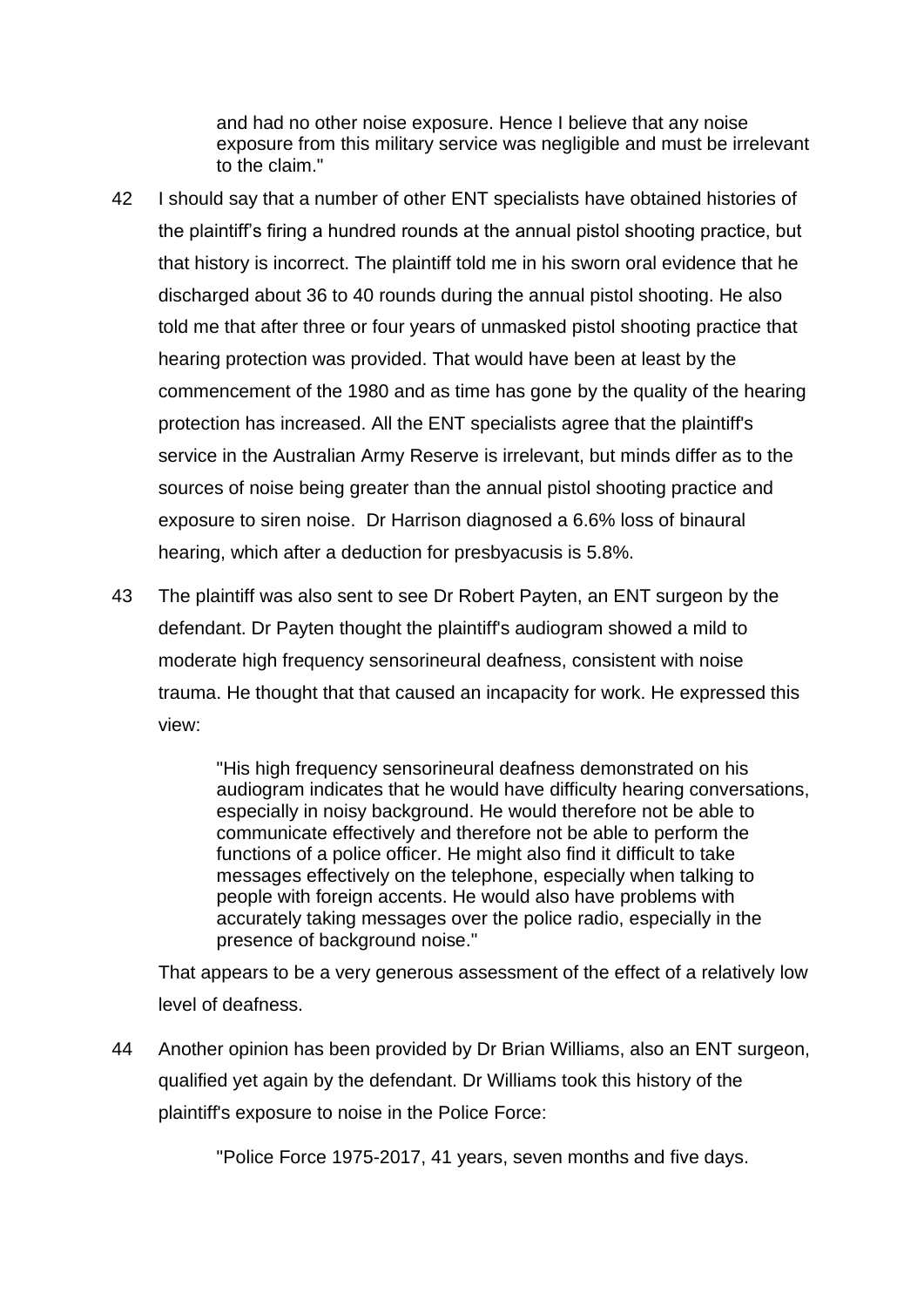and had no other noise exposure. Hence I believe that any noise exposure from this military service was negligible and must be irrelevant to the claim."

- 42 I should say that a number of other ENT specialists have obtained histories of the plaintiff's firing a hundred rounds at the annual pistol shooting practice, but that history is incorrect. The plaintiff told me in his sworn oral evidence that he discharged about 36 to 40 rounds during the annual pistol shooting. He also told me that after three or four years of unmasked pistol shooting practice that hearing protection was provided. That would have been at least by the commencement of the 1980 and as time has gone by the quality of the hearing protection has increased. All the ENT specialists agree that the plaintiff's service in the Australian Army Reserve is irrelevant, but minds differ as to the sources of noise being greater than the annual pistol shooting practice and exposure to siren noise. Dr Harrison diagnosed a 6.6% loss of binaural hearing, which after a deduction for presbyacusis is 5.8%.
- 43 The plaintiff was also sent to see Dr Robert Payten, an ENT surgeon by the defendant. Dr Payten thought the plaintiff's audiogram showed a mild to moderate high frequency sensorineural deafness, consistent with noise trauma. He thought that that caused an incapacity for work. He expressed this view:

"His high frequency sensorineural deafness demonstrated on his audiogram indicates that he would have difficulty hearing conversations, especially in noisy background. He would therefore not be able to communicate effectively and therefore not be able to perform the functions of a police officer. He might also find it difficult to take messages effectively on the telephone, especially when talking to people with foreign accents. He would also have problems with accurately taking messages over the police radio, especially in the presence of background noise."

That appears to be a very generous assessment of the effect of a relatively low level of deafness.

44 Another opinion has been provided by Dr Brian Williams, also an ENT surgeon, qualified yet again by the defendant. Dr Williams took this history of the plaintiff's exposure to noise in the Police Force:

"Police Force 1975-2017, 41 years, seven months and five days.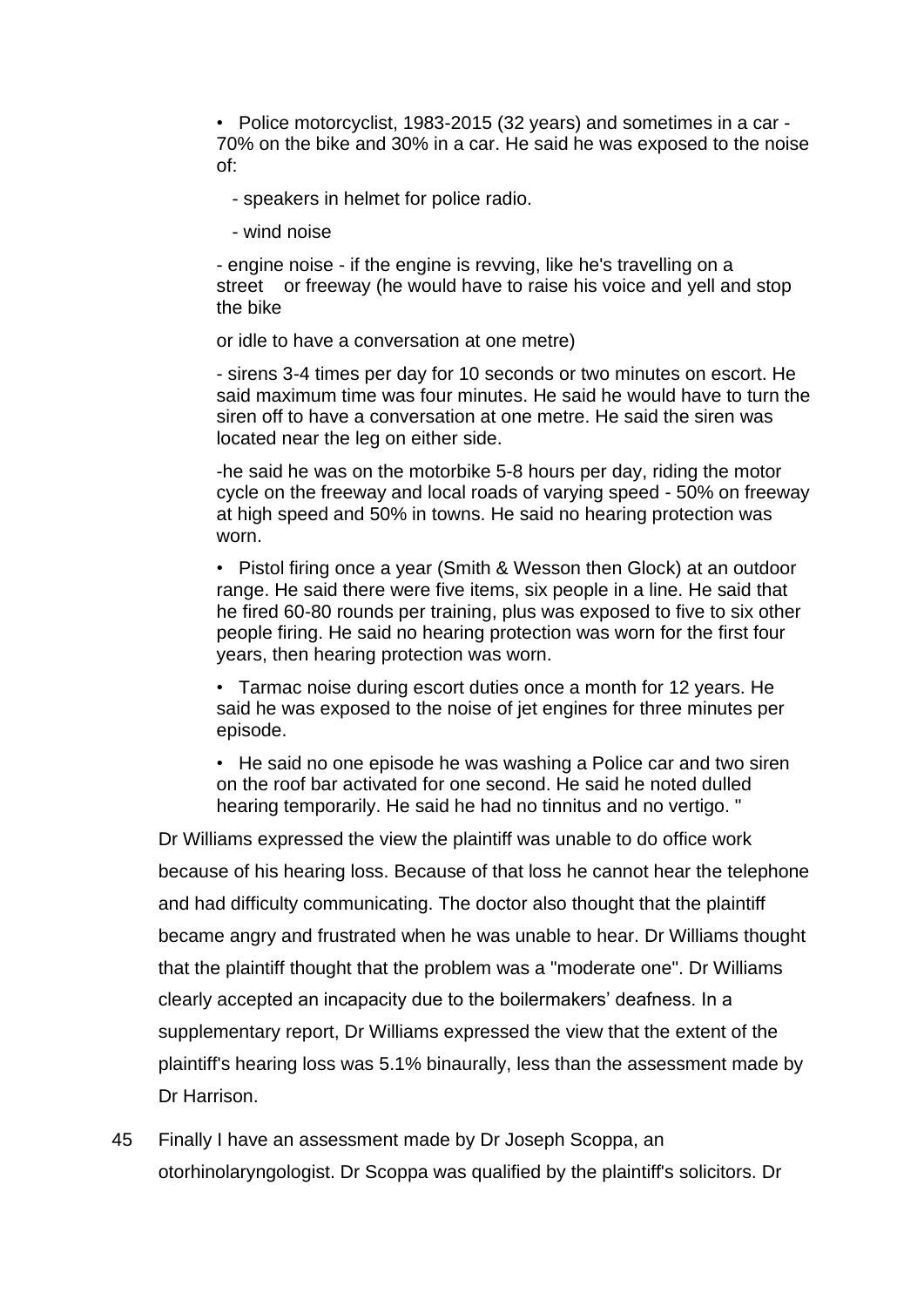• Police motorcyclist, 1983-2015 (32 years) and sometimes in a car - 70% on the bike and 30% in a car. He said he was exposed to the noise of:

- speakers in helmet for police radio.

- wind noise

- engine noise - if the engine is revving, like he's travelling on a street or freeway (he would have to raise his voice and yell and stop the bike

or idle to have a conversation at one metre)

- sirens 3-4 times per day for 10 seconds or two minutes on escort. He said maximum time was four minutes. He said he would have to turn the siren off to have a conversation at one metre. He said the siren was located near the leg on either side.

-he said he was on the motorbike 5-8 hours per day, riding the motor cycle on the freeway and local roads of varying speed - 50% on freeway at high speed and 50% in towns. He said no hearing protection was worn.

• Pistol firing once a year (Smith & Wesson then Glock) at an outdoor range. He said there were five items, six people in a line. He said that he fired 60-80 rounds per training, plus was exposed to five to six other people firing. He said no hearing protection was worn for the first four years, then hearing protection was worn.

• Tarmac noise during escort duties once a month for 12 years. He said he was exposed to the noise of jet engines for three minutes per episode.

• He said no one episode he was washing a Police car and two siren on the roof bar activated for one second. He said he noted dulled hearing temporarily. He said he had no tinnitus and no vertigo. "

Dr Williams expressed the view the plaintiff was unable to do office work because of his hearing loss. Because of that loss he cannot hear the telephone and had difficulty communicating. The doctor also thought that the plaintiff became angry and frustrated when he was unable to hear. Dr Williams thought that the plaintiff thought that the problem was a "moderate one". Dr Williams clearly accepted an incapacity due to the boilermakers' deafness. In a supplementary report, Dr Williams expressed the view that the extent of the plaintiff's hearing loss was 5.1% binaurally, less than the assessment made by Dr Harrison.

45 Finally I have an assessment made by Dr Joseph Scoppa, an otorhinolaryngologist. Dr Scoppa was qualified by the plaintiff's solicitors. Dr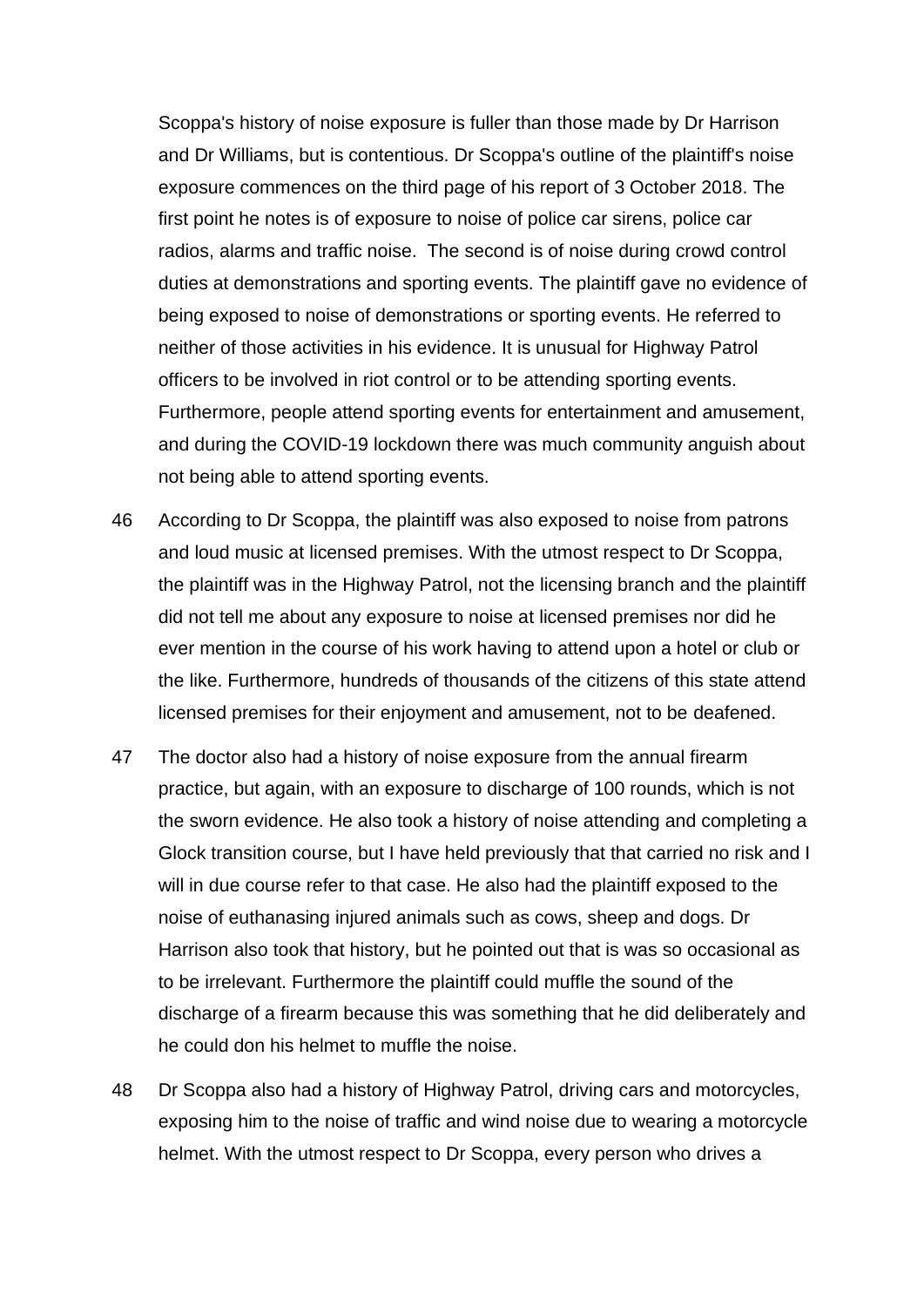Scoppa's history of noise exposure is fuller than those made by Dr Harrison and Dr Williams, but is contentious. Dr Scoppa's outline of the plaintiff's noise exposure commences on the third page of his report of 3 October 2018. The first point he notes is of exposure to noise of police car sirens, police car radios, alarms and traffic noise. The second is of noise during crowd control duties at demonstrations and sporting events. The plaintiff gave no evidence of being exposed to noise of demonstrations or sporting events. He referred to neither of those activities in his evidence. It is unusual for Highway Patrol officers to be involved in riot control or to be attending sporting events. Furthermore, people attend sporting events for entertainment and amusement, and during the COVID-19 lockdown there was much community anguish about not being able to attend sporting events.

- 46 According to Dr Scoppa, the plaintiff was also exposed to noise from patrons and loud music at licensed premises. With the utmost respect to Dr Scoppa, the plaintiff was in the Highway Patrol, not the licensing branch and the plaintiff did not tell me about any exposure to noise at licensed premises nor did he ever mention in the course of his work having to attend upon a hotel or club or the like. Furthermore, hundreds of thousands of the citizens of this state attend licensed premises for their enjoyment and amusement, not to be deafened.
- 47 The doctor also had a history of noise exposure from the annual firearm practice, but again, with an exposure to discharge of 100 rounds, which is not the sworn evidence. He also took a history of noise attending and completing a Glock transition course, but I have held previously that that carried no risk and I will in due course refer to that case. He also had the plaintiff exposed to the noise of euthanasing injured animals such as cows, sheep and dogs. Dr Harrison also took that history, but he pointed out that is was so occasional as to be irrelevant. Furthermore the plaintiff could muffle the sound of the discharge of a firearm because this was something that he did deliberately and he could don his helmet to muffle the noise.
- 48 Dr Scoppa also had a history of Highway Patrol, driving cars and motorcycles, exposing him to the noise of traffic and wind noise due to wearing a motorcycle helmet. With the utmost respect to Dr Scoppa, every person who drives a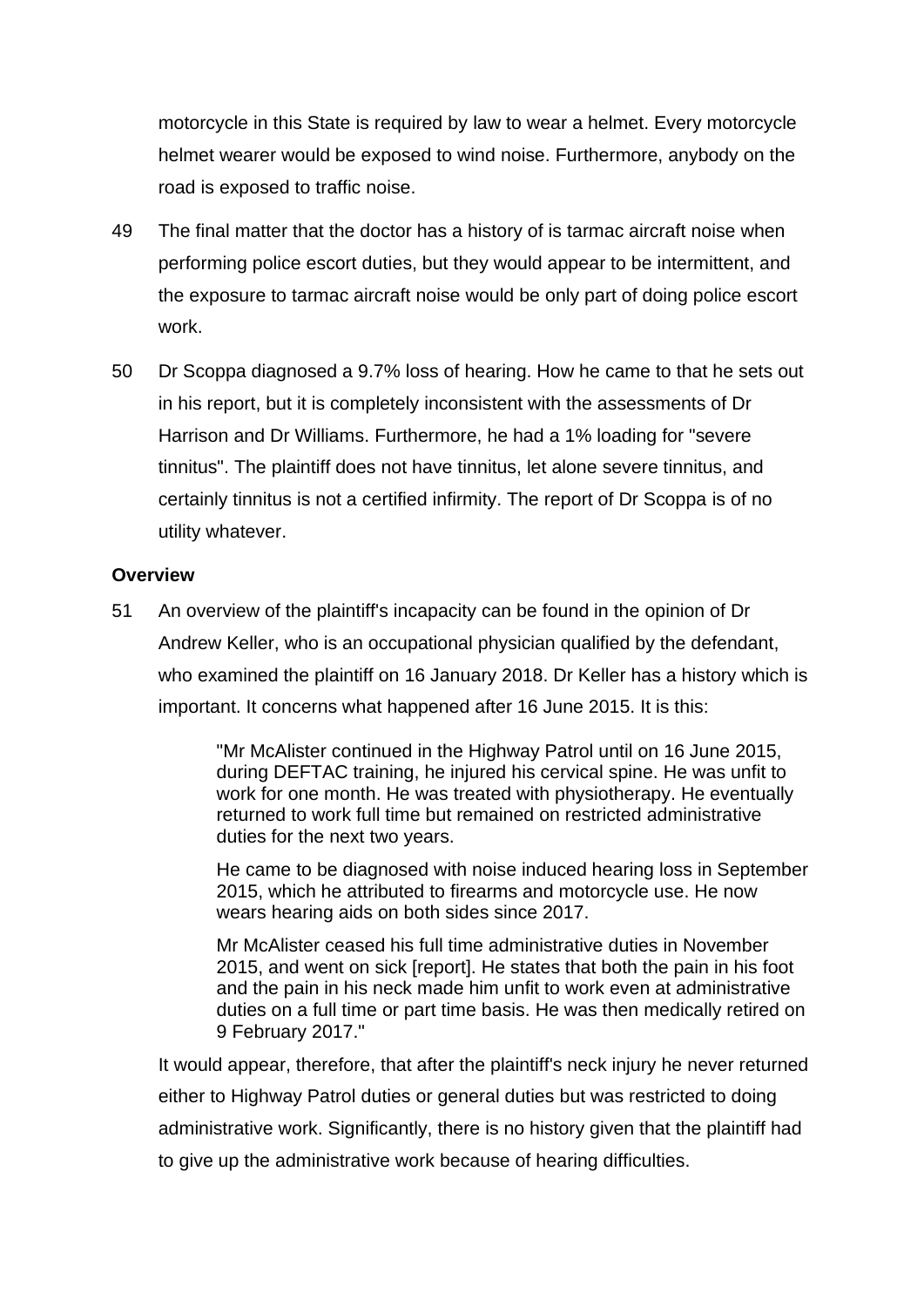motorcycle in this State is required by law to wear a helmet. Every motorcycle helmet wearer would be exposed to wind noise. Furthermore, anybody on the road is exposed to traffic noise.

- 49 The final matter that the doctor has a history of is tarmac aircraft noise when performing police escort duties, but they would appear to be intermittent, and the exposure to tarmac aircraft noise would be only part of doing police escort work.
- 50 Dr Scoppa diagnosed a 9.7% loss of hearing. How he came to that he sets out in his report, but it is completely inconsistent with the assessments of Dr Harrison and Dr Williams. Furthermore, he had a 1% loading for "severe tinnitus". The plaintiff does not have tinnitus, let alone severe tinnitus, and certainly tinnitus is not a certified infirmity. The report of Dr Scoppa is of no utility whatever.

# **Overview**

51 An overview of the plaintiff's incapacity can be found in the opinion of Dr Andrew Keller, who is an occupational physician qualified by the defendant, who examined the plaintiff on 16 January 2018. Dr Keller has a history which is important. It concerns what happened after 16 June 2015. It is this:

> "Mr McAlister continued in the Highway Patrol until on 16 June 2015, during DEFTAC training, he injured his cervical spine. He was unfit to work for one month. He was treated with physiotherapy. He eventually returned to work full time but remained on restricted administrative duties for the next two years.

He came to be diagnosed with noise induced hearing loss in September 2015, which he attributed to firearms and motorcycle use. He now wears hearing aids on both sides since 2017.

Mr McAlister ceased his full time administrative duties in November 2015, and went on sick [report]. He states that both the pain in his foot and the pain in his neck made him unfit to work even at administrative duties on a full time or part time basis. He was then medically retired on 9 February 2017."

It would appear, therefore, that after the plaintiff's neck injury he never returned either to Highway Patrol duties or general duties but was restricted to doing administrative work. Significantly, there is no history given that the plaintiff had to give up the administrative work because of hearing difficulties.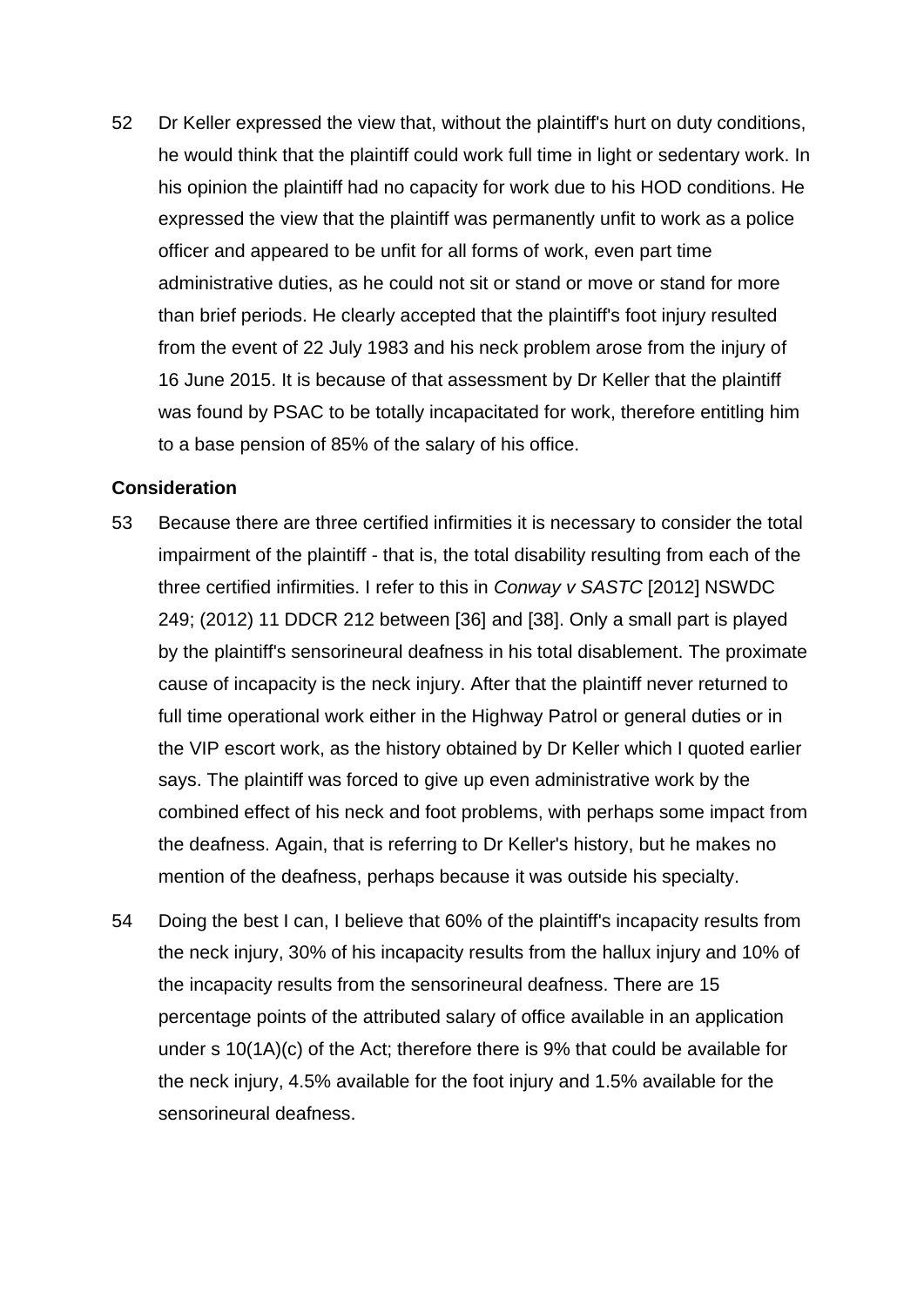52 Dr Keller expressed the view that, without the plaintiff's hurt on duty conditions, he would think that the plaintiff could work full time in light or sedentary work. In his opinion the plaintiff had no capacity for work due to his HOD conditions. He expressed the view that the plaintiff was permanently unfit to work as a police officer and appeared to be unfit for all forms of work, even part time administrative duties, as he could not sit or stand or move or stand for more than brief periods. He clearly accepted that the plaintiff's foot injury resulted from the event of 22 July 1983 and his neck problem arose from the injury of 16 June 2015. It is because of that assessment by Dr Keller that the plaintiff was found by PSAC to be totally incapacitated for work, therefore entitling him to a base pension of 85% of the salary of his office.

# **Consideration**

- 53 Because there are three certified infirmities it is necessary to consider the total impairment of the plaintiff - that is, the total disability resulting from each of the three certified infirmities. I refer to this in *Conway v SASTC* [2012] NSWDC 249; (2012) 11 DDCR 212 between [36] and [38]. Only a small part is played by the plaintiff's sensorineural deafness in his total disablement. The proximate cause of incapacity is the neck injury. After that the plaintiff never returned to full time operational work either in the Highway Patrol or general duties or in the VIP escort work, as the history obtained by Dr Keller which I quoted earlier says. The plaintiff was forced to give up even administrative work by the combined effect of his neck and foot problems, with perhaps some impact from the deafness. Again, that is referring to Dr Keller's history, but he makes no mention of the deafness, perhaps because it was outside his specialty.
- 54 Doing the best I can, I believe that 60% of the plaintiff's incapacity results from the neck injury, 30% of his incapacity results from the hallux injury and 10% of the incapacity results from the sensorineural deafness. There are 15 percentage points of the attributed salary of office available in an application under s 10(1A)(c) of the Act; therefore there is 9% that could be available for the neck injury, 4.5% available for the foot injury and 1.5% available for the sensorineural deafness.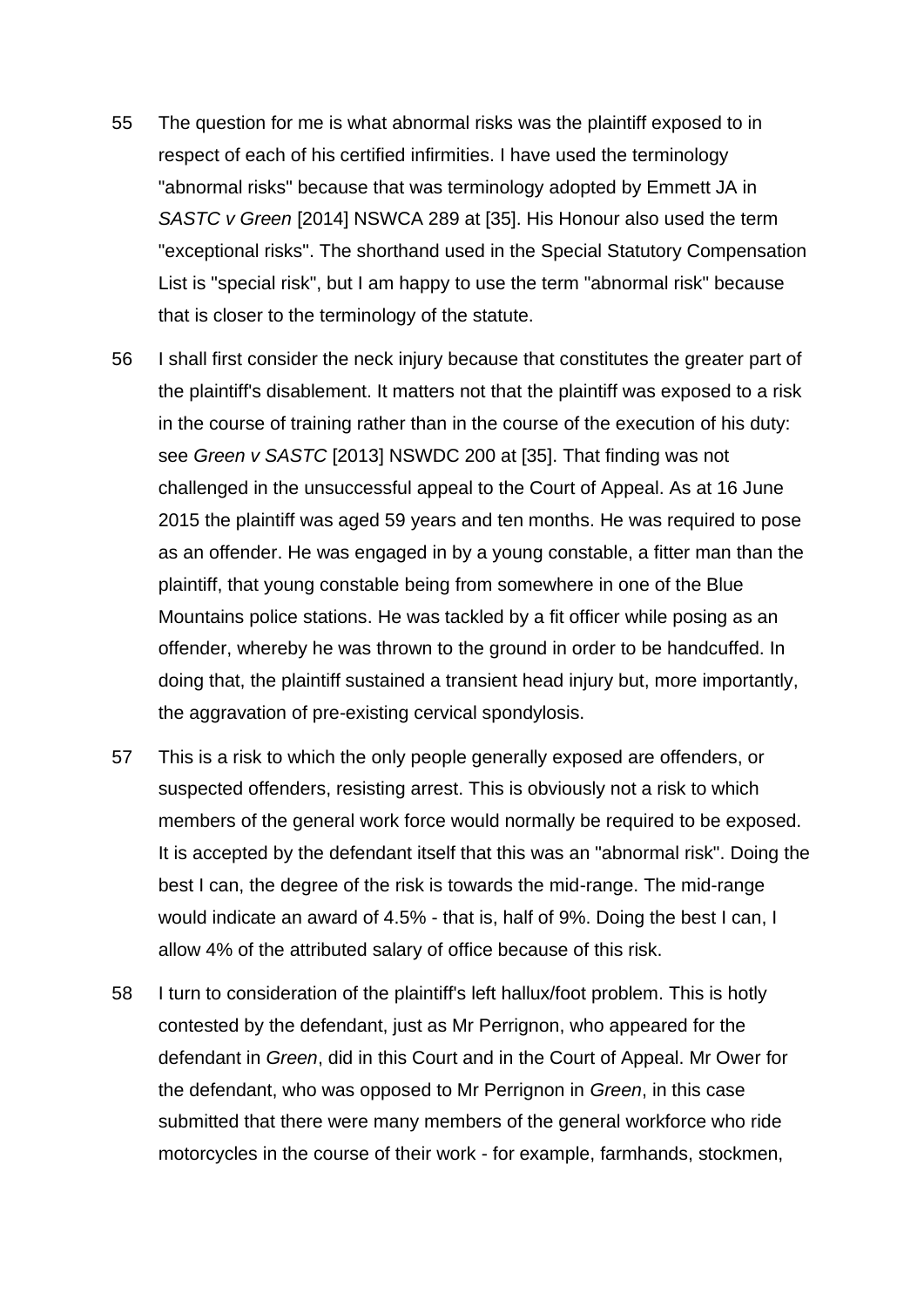- 55 The question for me is what abnormal risks was the plaintiff exposed to in respect of each of his certified infirmities. I have used the terminology "abnormal risks" because that was terminology adopted by Emmett JA in *SASTC v Green* [2014] NSWCA 289 at [35]. His Honour also used the term "exceptional risks". The shorthand used in the Special Statutory Compensation List is "special risk", but I am happy to use the term "abnormal risk" because that is closer to the terminology of the statute.
- 56 I shall first consider the neck injury because that constitutes the greater part of the plaintiff's disablement. It matters not that the plaintiff was exposed to a risk in the course of training rather than in the course of the execution of his duty: see *Green v SASTC* [2013] NSWDC 200 at [35]. That finding was not challenged in the unsuccessful appeal to the Court of Appeal. As at 16 June 2015 the plaintiff was aged 59 years and ten months. He was required to pose as an offender. He was engaged in by a young constable, a fitter man than the plaintiff, that young constable being from somewhere in one of the Blue Mountains police stations. He was tackled by a fit officer while posing as an offender, whereby he was thrown to the ground in order to be handcuffed. In doing that, the plaintiff sustained a transient head injury but, more importantly, the aggravation of pre-existing cervical spondylosis.
- 57 This is a risk to which the only people generally exposed are offenders, or suspected offenders, resisting arrest. This is obviously not a risk to which members of the general work force would normally be required to be exposed. It is accepted by the defendant itself that this was an "abnormal risk". Doing the best I can, the degree of the risk is towards the mid-range. The mid-range would indicate an award of 4.5% - that is, half of 9%. Doing the best I can, I allow 4% of the attributed salary of office because of this risk.
- 58 I turn to consideration of the plaintiff's left hallux/foot problem. This is hotly contested by the defendant, just as Mr Perrignon, who appeared for the defendant in *Green*, did in this Court and in the Court of Appeal. Mr Ower for the defendant, who was opposed to Mr Perrignon in *Green*, in this case submitted that there were many members of the general workforce who ride motorcycles in the course of their work - for example, farmhands, stockmen,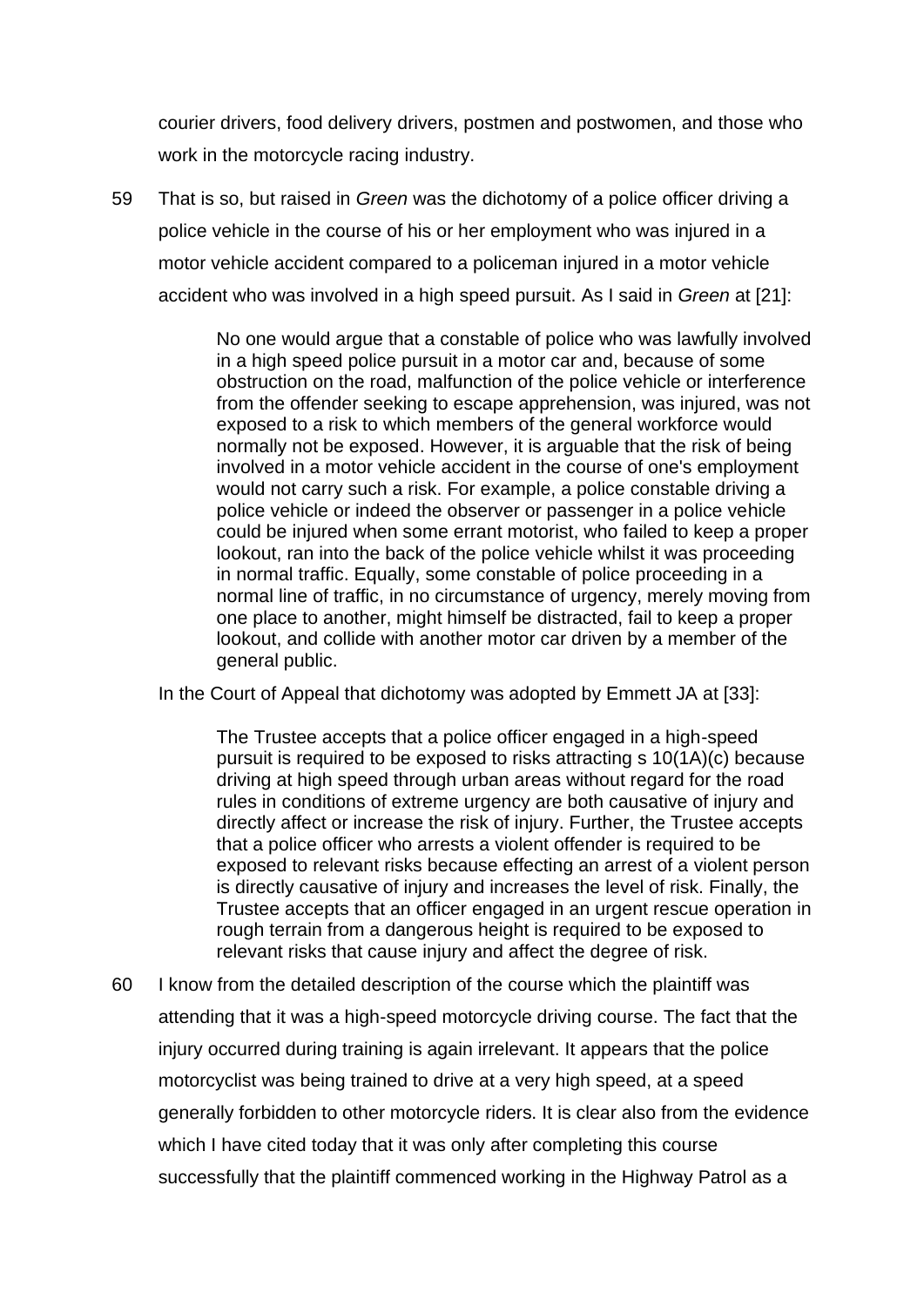courier drivers, food delivery drivers, postmen and postwomen, and those who work in the motorcycle racing industry.

59 That is so, but raised in *Green* was the dichotomy of a police officer driving a police vehicle in the course of his or her employment who was injured in a motor vehicle accident compared to a policeman injured in a motor vehicle accident who was involved in a high speed pursuit. As I said in *Green* at [21]:

> No one would argue that a constable of police who was lawfully involved in a high speed police pursuit in a motor car and, because of some obstruction on the road, malfunction of the police vehicle or interference from the offender seeking to escape apprehension, was injured, was not exposed to a risk to which members of the general workforce would normally not be exposed. However, it is arguable that the risk of being involved in a motor vehicle accident in the course of one's employment would not carry such a risk. For example, a police constable driving a police vehicle or indeed the observer or passenger in a police vehicle could be injured when some errant motorist, who failed to keep a proper lookout, ran into the back of the police vehicle whilst it was proceeding in normal traffic. Equally, some constable of police proceeding in a normal line of traffic, in no circumstance of urgency, merely moving from one place to another, might himself be distracted, fail to keep a proper lookout, and collide with another motor car driven by a member of the general public.

In the Court of Appeal that dichotomy was adopted by Emmett JA at [33]:

The Trustee accepts that a police officer engaged in a high-speed pursuit is required to be exposed to risks attracting s 10(1A)(c) because driving at high speed through urban areas without regard for the road rules in conditions of extreme urgency are both causative of injury and directly affect or increase the risk of injury. Further, the Trustee accepts that a police officer who arrests a violent offender is required to be exposed to relevant risks because effecting an arrest of a violent person is directly causative of injury and increases the level of risk. Finally, the Trustee accepts that an officer engaged in an urgent rescue operation in rough terrain from a dangerous height is required to be exposed to relevant risks that cause injury and affect the degree of risk.

60 I know from the detailed description of the course which the plaintiff was attending that it was a high-speed motorcycle driving course. The fact that the injury occurred during training is again irrelevant. It appears that the police motorcyclist was being trained to drive at a very high speed, at a speed generally forbidden to other motorcycle riders. It is clear also from the evidence which I have cited today that it was only after completing this course successfully that the plaintiff commenced working in the Highway Patrol as a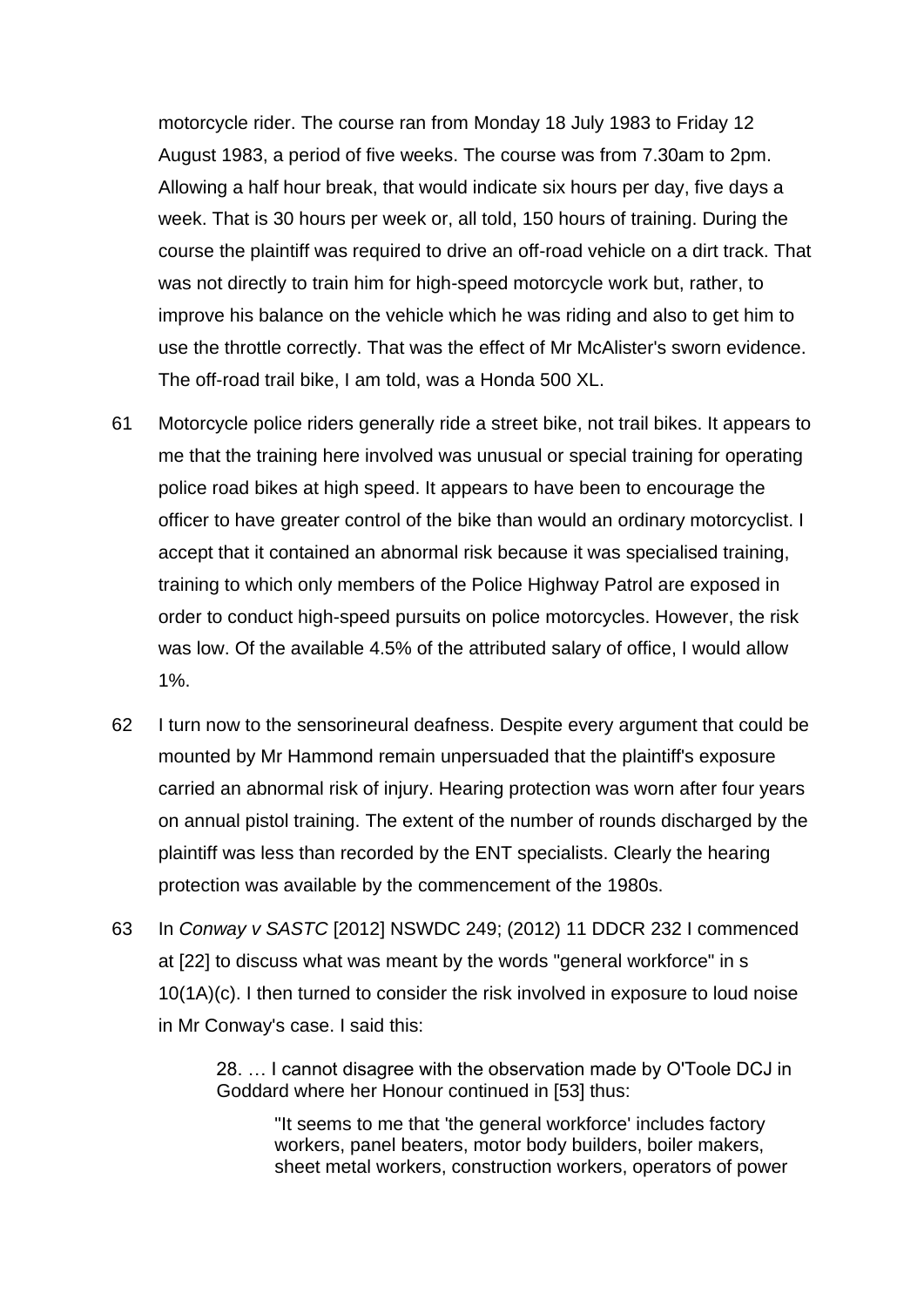motorcycle rider. The course ran from Monday 18 July 1983 to Friday 12 August 1983, a period of five weeks. The course was from 7.30am to 2pm. Allowing a half hour break, that would indicate six hours per day, five days a week. That is 30 hours per week or, all told, 150 hours of training. During the course the plaintiff was required to drive an off-road vehicle on a dirt track. That was not directly to train him for high-speed motorcycle work but, rather, to improve his balance on the vehicle which he was riding and also to get him to use the throttle correctly. That was the effect of Mr McAlister's sworn evidence. The off-road trail bike, I am told, was a Honda 500 XL.

- 61 Motorcycle police riders generally ride a street bike, not trail bikes. It appears to me that the training here involved was unusual or special training for operating police road bikes at high speed. It appears to have been to encourage the officer to have greater control of the bike than would an ordinary motorcyclist. I accept that it contained an abnormal risk because it was specialised training, training to which only members of the Police Highway Patrol are exposed in order to conduct high-speed pursuits on police motorcycles. However, the risk was low. Of the available 4.5% of the attributed salary of office, I would allow 1%.
- 62 I turn now to the sensorineural deafness. Despite every argument that could be mounted by Mr Hammond remain unpersuaded that the plaintiff's exposure carried an abnormal risk of injury. Hearing protection was worn after four years on annual pistol training. The extent of the number of rounds discharged by the plaintiff was less than recorded by the ENT specialists. Clearly the hearing protection was available by the commencement of the 1980s.
- 63 In *Conway v SASTC* [2012] NSWDC 249; (2012) 11 DDCR 232 I commenced at [22] to discuss what was meant by the words "general workforce" in s 10(1A)(c). I then turned to consider the risk involved in exposure to loud noise in Mr Conway's case. I said this:

28. … I cannot disagree with the observation made by O'Toole DCJ in Goddard where her Honour continued in [53] thus:

"It seems to me that 'the general workforce' includes factory workers, panel beaters, motor body builders, boiler makers, sheet metal workers, construction workers, operators of power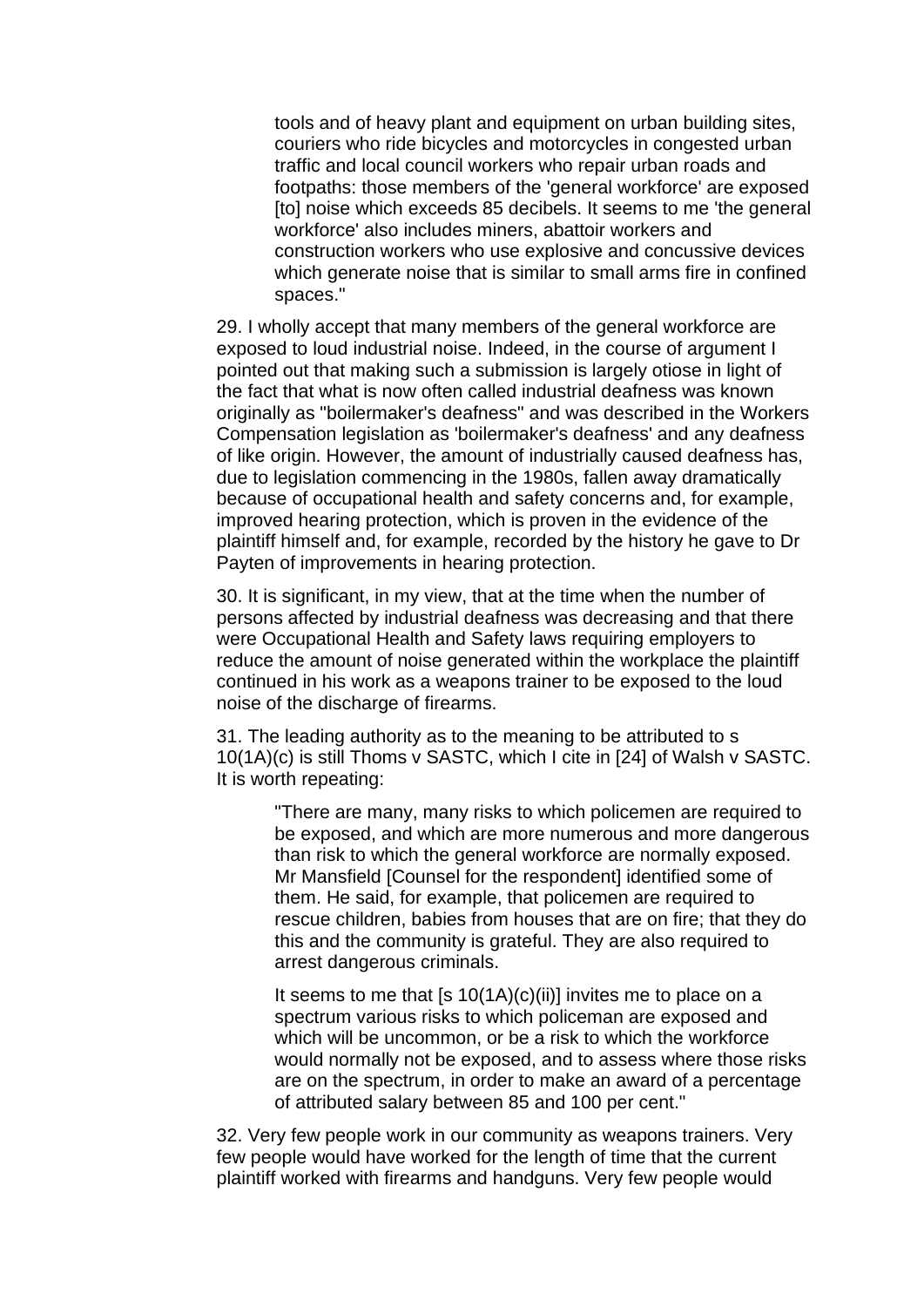tools and of heavy plant and equipment on urban building sites, couriers who ride bicycles and motorcycles in congested urban traffic and local council workers who repair urban roads and footpaths: those members of the 'general workforce' are exposed [to] noise which exceeds 85 decibels. It seems to me 'the general workforce' also includes miners, abattoir workers and construction workers who use explosive and concussive devices which generate noise that is similar to small arms fire in confined spaces."

29. I wholly accept that many members of the general workforce are exposed to loud industrial noise. Indeed, in the course of argument I pointed out that making such a submission is largely otiose in light of the fact that what is now often called industrial deafness was known originally as "boilermaker's deafness" and was described in the Workers Compensation legislation as 'boilermaker's deafness' and any deafness of like origin. However, the amount of industrially caused deafness has, due to legislation commencing in the 1980s, fallen away dramatically because of occupational health and safety concerns and, for example, improved hearing protection, which is proven in the evidence of the plaintiff himself and, for example, recorded by the history he gave to Dr Payten of improvements in hearing protection.

30. It is significant, in my view, that at the time when the number of persons affected by industrial deafness was decreasing and that there were Occupational Health and Safety laws requiring employers to reduce the amount of noise generated within the workplace the plaintiff continued in his work as a weapons trainer to be exposed to the loud noise of the discharge of firearms.

31. The leading authority as to the meaning to be attributed to s 10(1A)(c) is still Thoms v SASTC, which I cite in [24] of Walsh v SASTC. It is worth repeating:

"There are many, many risks to which policemen are required to be exposed, and which are more numerous and more dangerous than risk to which the general workforce are normally exposed. Mr Mansfield [Counsel for the respondent] identified some of them. He said, for example, that policemen are required to rescue children, babies from houses that are on fire; that they do this and the community is grateful. They are also required to arrest dangerous criminals.

It seems to me that [s  $10(1A)(c)(ii)$ ] invites me to place on a spectrum various risks to which policeman are exposed and which will be uncommon, or be a risk to which the workforce would normally not be exposed, and to assess where those risks are on the spectrum, in order to make an award of a percentage of attributed salary between 85 and 100 per cent."

32. Very few people work in our community as weapons trainers. Very few people would have worked for the length of time that the current plaintiff worked with firearms and handguns. Very few people would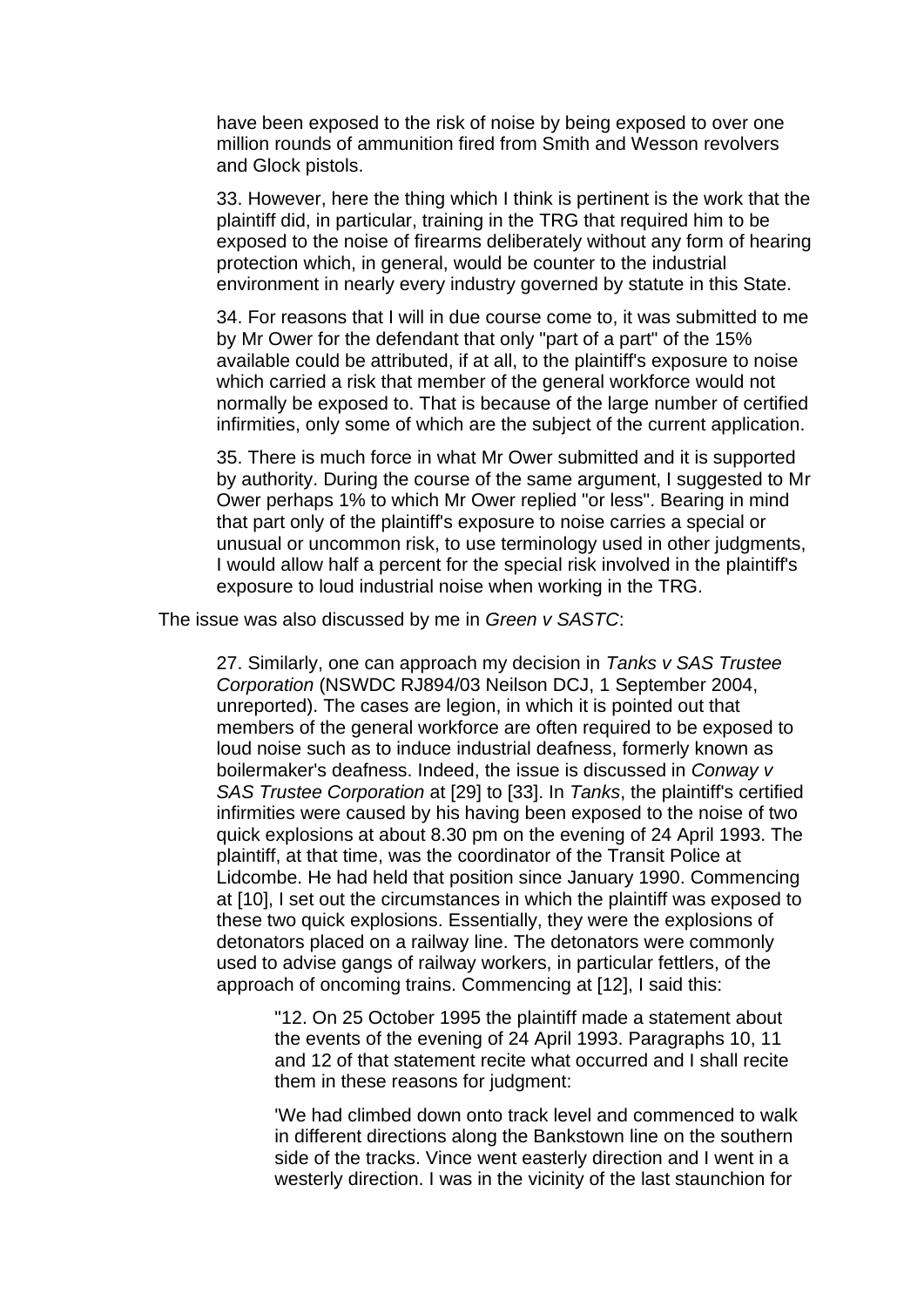have been exposed to the risk of noise by being exposed to over one million rounds of ammunition fired from Smith and Wesson revolvers and Glock pistols.

33. However, here the thing which I think is pertinent is the work that the plaintiff did, in particular, training in the TRG that required him to be exposed to the noise of firearms deliberately without any form of hearing protection which, in general, would be counter to the industrial environment in nearly every industry governed by statute in this State.

34. For reasons that I will in due course come to, it was submitted to me by Mr Ower for the defendant that only "part of a part" of the 15% available could be attributed, if at all, to the plaintiff's exposure to noise which carried a risk that member of the general workforce would not normally be exposed to. That is because of the large number of certified infirmities, only some of which are the subject of the current application.

35. There is much force in what Mr Ower submitted and it is supported by authority. During the course of the same argument, I suggested to Mr Ower perhaps 1% to which Mr Ower replied "or less". Bearing in mind that part only of the plaintiff's exposure to noise carries a special or unusual or uncommon risk, to use terminology used in other judgments, I would allow half a percent for the special risk involved in the plaintiff's exposure to loud industrial noise when working in the TRG.

The issue was also discussed by me in *Green v SASTC*:

27. Similarly, one can approach my decision in *Tanks v SAS Trustee Corporation* (NSWDC RJ894/03 Neilson DCJ, 1 September 2004, unreported). The cases are legion, in which it is pointed out that members of the general workforce are often required to be exposed to loud noise such as to induce industrial deafness, formerly known as boilermaker's deafness. Indeed, the issue is discussed in *Conway v SAS Trustee Corporation* at [29] to [33]. In *Tanks*, the plaintiff's certified infirmities were caused by his having been exposed to the noise of two quick explosions at about 8.30 pm on the evening of 24 April 1993. The plaintiff, at that time, was the coordinator of the Transit Police at Lidcombe. He had held that position since January 1990. Commencing at [10], I set out the circumstances in which the plaintiff was exposed to these two quick explosions. Essentially, they were the explosions of detonators placed on a railway line. The detonators were commonly used to advise gangs of railway workers, in particular fettlers, of the approach of oncoming trains. Commencing at [12], I said this:

"12. On 25 October 1995 the plaintiff made a statement about the events of the evening of 24 April 1993. Paragraphs 10, 11 and 12 of that statement recite what occurred and I shall recite them in these reasons for judgment:

'We had climbed down onto track level and commenced to walk in different directions along the Bankstown line on the southern side of the tracks. Vince went easterly direction and I went in a westerly direction. I was in the vicinity of the last staunchion for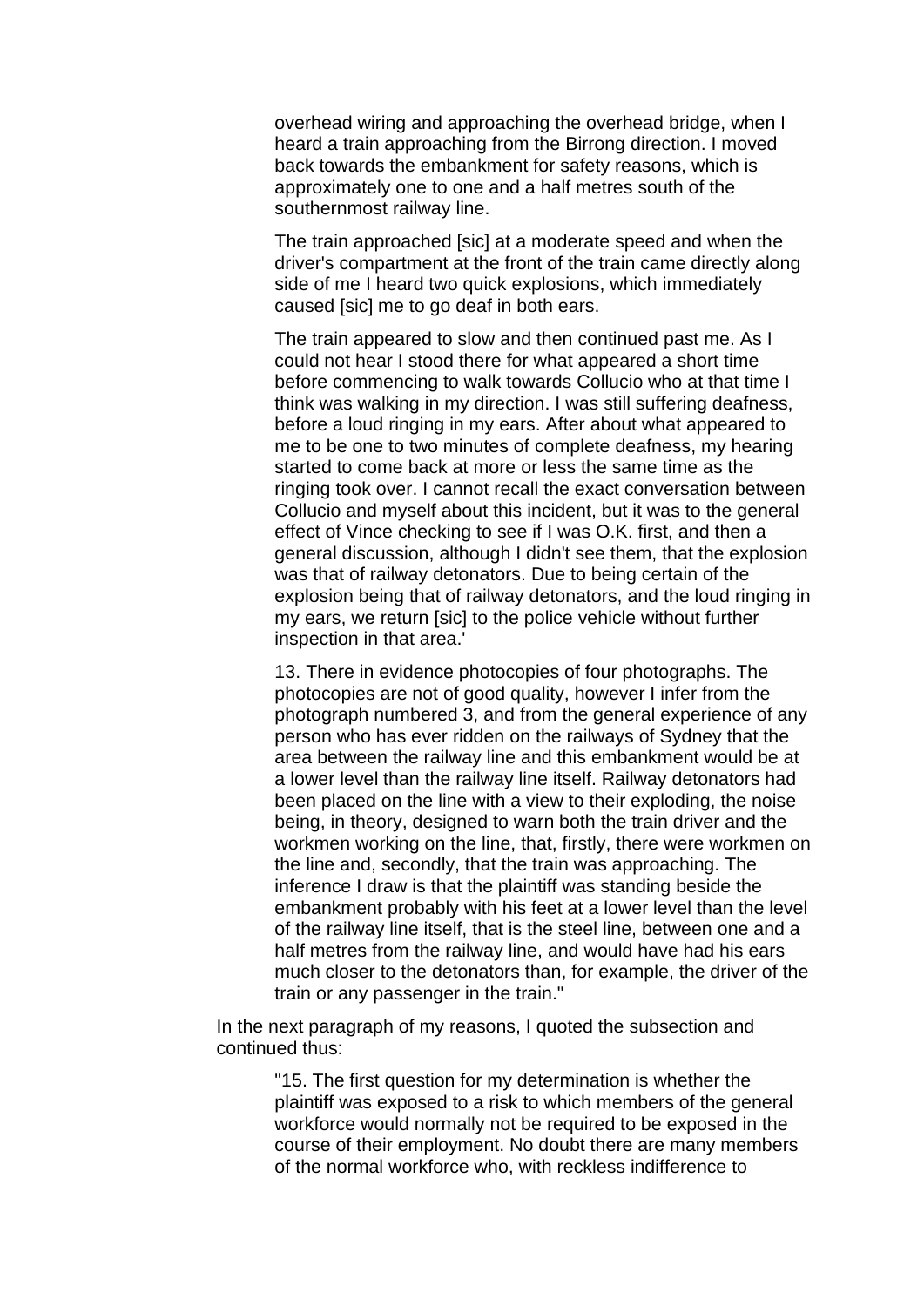overhead wiring and approaching the overhead bridge, when I heard a train approaching from the Birrong direction. I moved back towards the embankment for safety reasons, which is approximately one to one and a half metres south of the southernmost railway line.

The train approached [sic] at a moderate speed and when the driver's compartment at the front of the train came directly along side of me I heard two quick explosions, which immediately caused [sic] me to go deaf in both ears.

The train appeared to slow and then continued past me. As I could not hear I stood there for what appeared a short time before commencing to walk towards Collucio who at that time I think was walking in my direction. I was still suffering deafness, before a loud ringing in my ears. After about what appeared to me to be one to two minutes of complete deafness, my hearing started to come back at more or less the same time as the ringing took over. I cannot recall the exact conversation between Collucio and myself about this incident, but it was to the general effect of Vince checking to see if I was O.K. first, and then a general discussion, although I didn't see them, that the explosion was that of railway detonators. Due to being certain of the explosion being that of railway detonators, and the loud ringing in my ears, we return [sic] to the police vehicle without further inspection in that area.'

13. There in evidence photocopies of four photographs. The photocopies are not of good quality, however I infer from the photograph numbered 3, and from the general experience of any person who has ever ridden on the railways of Sydney that the area between the railway line and this embankment would be at a lower level than the railway line itself. Railway detonators had been placed on the line with a view to their exploding, the noise being, in theory, designed to warn both the train driver and the workmen working on the line, that, firstly, there were workmen on the line and, secondly, that the train was approaching. The inference I draw is that the plaintiff was standing beside the embankment probably with his feet at a lower level than the level of the railway line itself, that is the steel line, between one and a half metres from the railway line, and would have had his ears much closer to the detonators than, for example, the driver of the train or any passenger in the train."

In the next paragraph of my reasons, I quoted the subsection and continued thus:

> "15. The first question for my determination is whether the plaintiff was exposed to a risk to which members of the general workforce would normally not be required to be exposed in the course of their employment. No doubt there are many members of the normal workforce who, with reckless indifference to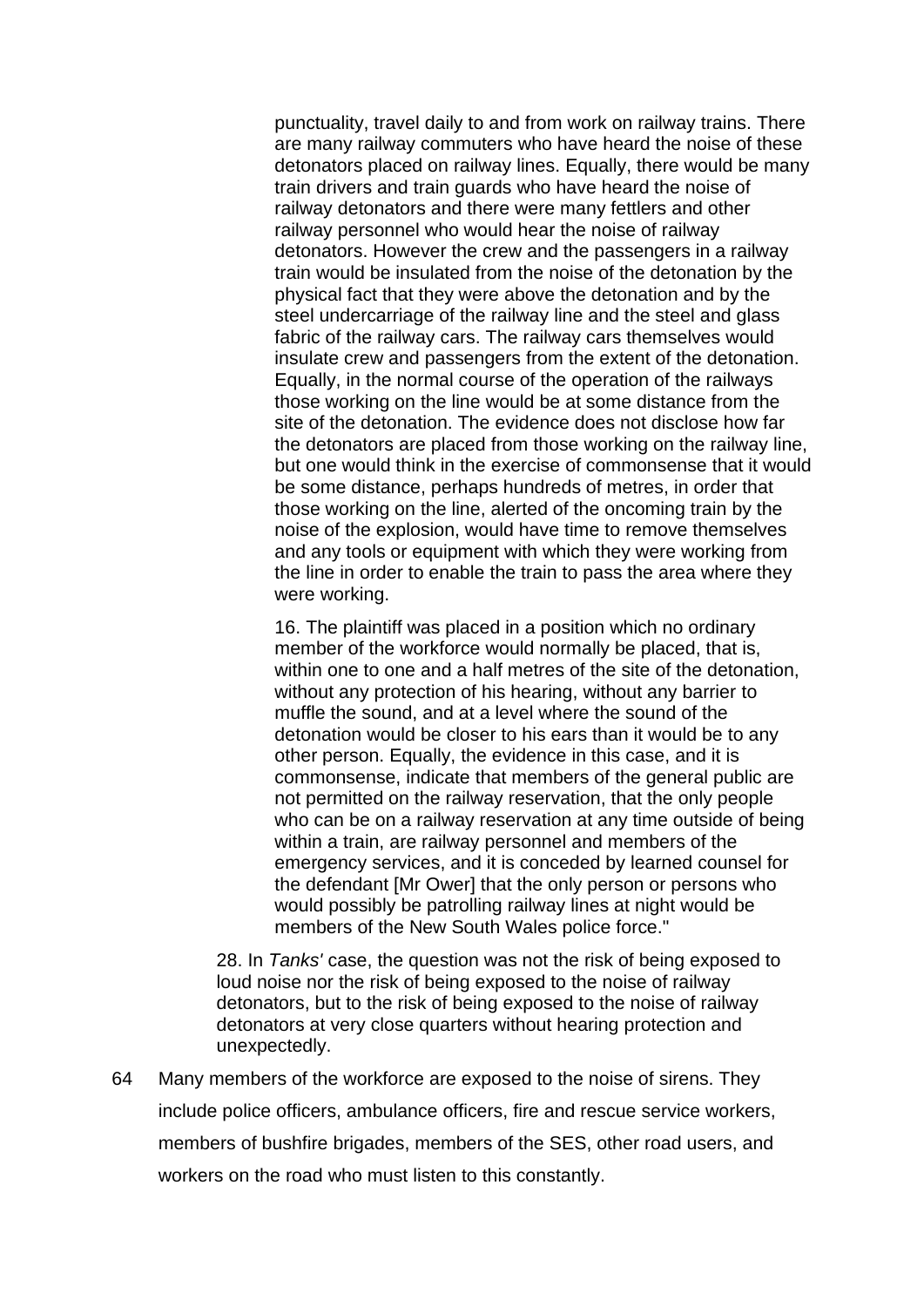punctuality, travel daily to and from work on railway trains. There are many railway commuters who have heard the noise of these detonators placed on railway lines. Equally, there would be many train drivers and train guards who have heard the noise of railway detonators and there were many fettlers and other railway personnel who would hear the noise of railway detonators. However the crew and the passengers in a railway train would be insulated from the noise of the detonation by the physical fact that they were above the detonation and by the steel undercarriage of the railway line and the steel and glass fabric of the railway cars. The railway cars themselves would insulate crew and passengers from the extent of the detonation. Equally, in the normal course of the operation of the railways those working on the line would be at some distance from the site of the detonation. The evidence does not disclose how far the detonators are placed from those working on the railway line, but one would think in the exercise of commonsense that it would be some distance, perhaps hundreds of metres, in order that those working on the line, alerted of the oncoming train by the noise of the explosion, would have time to remove themselves and any tools or equipment with which they were working from the line in order to enable the train to pass the area where they were working.

16. The plaintiff was placed in a position which no ordinary member of the workforce would normally be placed, that is, within one to one and a half metres of the site of the detonation, without any protection of his hearing, without any barrier to muffle the sound, and at a level where the sound of the detonation would be closer to his ears than it would be to any other person. Equally, the evidence in this case, and it is commonsense, indicate that members of the general public are not permitted on the railway reservation, that the only people who can be on a railway reservation at any time outside of being within a train, are railway personnel and members of the emergency services, and it is conceded by learned counsel for the defendant [Mr Ower] that the only person or persons who would possibly be patrolling railway lines at night would be members of the New South Wales police force."

28. In *Tanks'* case, the question was not the risk of being exposed to loud noise nor the risk of being exposed to the noise of railway detonators, but to the risk of being exposed to the noise of railway detonators at very close quarters without hearing protection and unexpectedly.

64 Many members of the workforce are exposed to the noise of sirens. They include police officers, ambulance officers, fire and rescue service workers, members of bushfire brigades, members of the SES, other road users, and workers on the road who must listen to this constantly.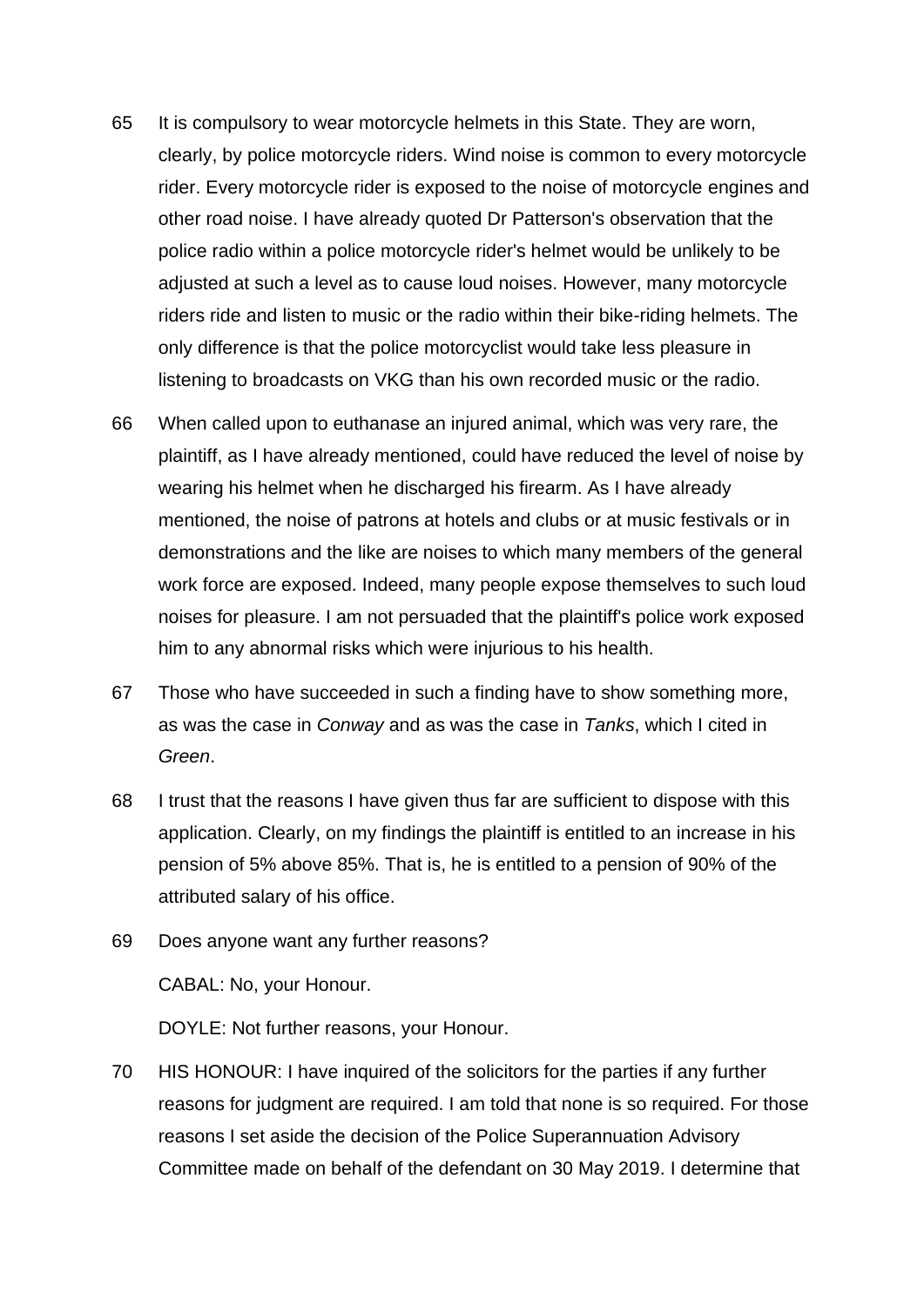- 65 It is compulsory to wear motorcycle helmets in this State. They are worn, clearly, by police motorcycle riders. Wind noise is common to every motorcycle rider. Every motorcycle rider is exposed to the noise of motorcycle engines and other road noise. I have already quoted Dr Patterson's observation that the police radio within a police motorcycle rider's helmet would be unlikely to be adjusted at such a level as to cause loud noises. However, many motorcycle riders ride and listen to music or the radio within their bike-riding helmets. The only difference is that the police motorcyclist would take less pleasure in listening to broadcasts on VKG than his own recorded music or the radio.
- 66 When called upon to euthanase an injured animal, which was very rare, the plaintiff, as I have already mentioned, could have reduced the level of noise by wearing his helmet when he discharged his firearm. As I have already mentioned, the noise of patrons at hotels and clubs or at music festivals or in demonstrations and the like are noises to which many members of the general work force are exposed. Indeed, many people expose themselves to such loud noises for pleasure. I am not persuaded that the plaintiff's police work exposed him to any abnormal risks which were injurious to his health.
- 67 Those who have succeeded in such a finding have to show something more, as was the case in *Conway* and as was the case in *Tanks*, which I cited in *Green*.
- 68 I trust that the reasons I have given thus far are sufficient to dispose with this application. Clearly, on my findings the plaintiff is entitled to an increase in his pension of 5% above 85%. That is, he is entitled to a pension of 90% of the attributed salary of his office.
- 69 Does anyone want any further reasons?

CABAL: No, your Honour.

DOYLE: Not further reasons, your Honour.

70 HIS HONOUR: I have inquired of the solicitors for the parties if any further reasons for judgment are required. I am told that none is so required. For those reasons I set aside the decision of the Police Superannuation Advisory Committee made on behalf of the defendant on 30 May 2019. I determine that